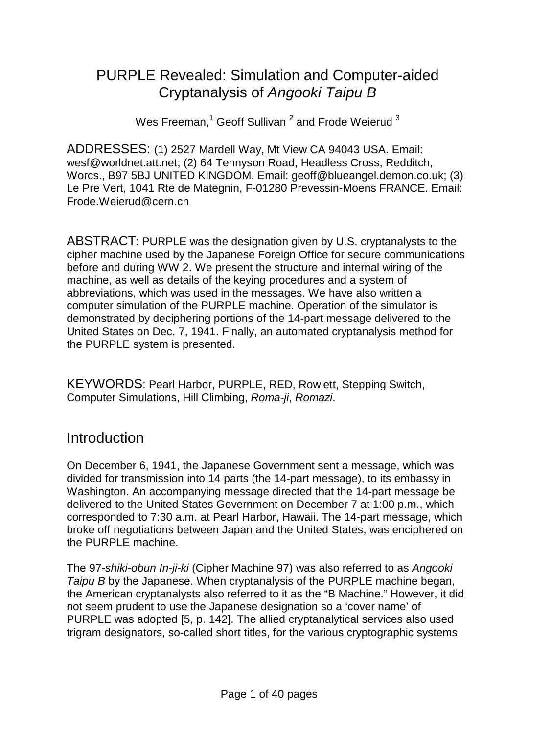### PURPLE Revealed: Simulation and Computer-aided Cryptanalysis of *Angooki Taipu B*

Wes Freeman, $1$  Geoff Sullivan<sup>2</sup> and Frode Weierud  $3$ 

ADDRESSES: (1) 2527 Mardell Way, Mt View CA 94043 USA. Email: wesf@worldnet.att.net; (2) 64 Tennyson Road, Headless Cross, Redditch, Worcs., B97 5BJ UNITED KINGDOM. Email: geoff@blueangel.demon.co.uk; (3) Le Pre Vert, 1041 Rte de Mategnin, F-01280 Prevessin-Moens FRANCE. Email: Frode.Weierud@cern.ch

ABSTRACT: PURPLE was the designation given by U.S. cryptanalysts to the cipher machine used by the Japanese Foreign Office for secure communications before and during WW 2. We present the structure and internal wiring of the machine, as well as details of the keying procedures and a system of abbreviations, which was used in the messages. We have also written a computer simulation of the PURPLE machine. Operation of the simulator is demonstrated by deciphering portions of the 14-part message delivered to the United States on Dec. 7, 1941. Finally, an automated cryptanalysis method for the PURPLE system is presented.

KEYWORDS: Pearl Harbor, PURPLE, RED, Rowlett, Stepping Switch, Computer Simulations, Hill Climbing, *Roma-ji*, *Romazi*.

#### Introduction

On December 6, 1941, the Japanese Government sent a message, which was divided for transmission into 14 parts (the 14-part message), to its embassy in Washington. An accompanying message directed that the 14-part message be delivered to the United States Government on December 7 at 1:00 p.m., which corresponded to 7:30 a.m. at Pearl Harbor, Hawaii. The 14-part message, which broke off negotiations between Japan and the United States, was enciphered on the PURPLE machine.

The 97*-shiki-obun In-ji-ki* (Cipher Machine 97) was also referred to as *Angooki Taipu B* by the Japanese. When cryptanalysis of the PURPLE machine began, the American cryptanalysts also referred to it as the "B Machine." However, it did not seem prudent to use the Japanese designation so a 'cover name' of PURPLE was adopted [5, p. 142]. The allied cryptanalytical services also used trigram designators, so-called short titles, for the various cryptographic systems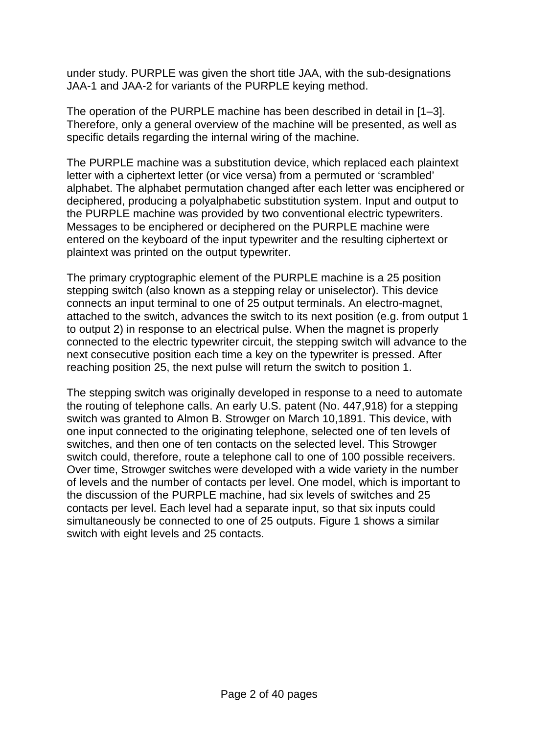under study. PURPLE was given the short title JAA, with the sub-designations JAA-1 and JAA-2 for variants of the PURPLE keying method.

The operation of the PURPLE machine has been described in detail in [1–3]. Therefore, only a general overview of the machine will be presented, as well as specific details regarding the internal wiring of the machine.

The PURPLE machine was a substitution device, which replaced each plaintext letter with a ciphertext letter (or vice versa) from a permuted or 'scrambled' alphabet. The alphabet permutation changed after each letter was enciphered or deciphered, producing a polyalphabetic substitution system. Input and output to the PURPLE machine was provided by two conventional electric typewriters. Messages to be enciphered or deciphered on the PURPLE machine were entered on the keyboard of the input typewriter and the resulting ciphertext or plaintext was printed on the output typewriter.

The primary cryptographic element of the PURPLE machine is a 25 position stepping switch (also known as a stepping relay or uniselector). This device connects an input terminal to one of 25 output terminals. An electro-magnet, attached to the switch, advances the switch to its next position (e.g. from output 1 to output 2) in response to an electrical pulse. When the magnet is properly connected to the electric typewriter circuit, the stepping switch will advance to the next consecutive position each time a key on the typewriter is pressed. After reaching position 25, the next pulse will return the switch to position 1.

The stepping switch was originally developed in response to a need to automate the routing of telephone calls. An early U.S. patent (No. 447,918) for a stepping switch was granted to Almon B. Strowger on March 10,1891. This device, with one input connected to the originating telephone, selected one of ten levels of switches, and then one of ten contacts on the selected level. This Strowger switch could, therefore, route a telephone call to one of 100 possible receivers. Over time, Strowger switches were developed with a wide variety in the number of levels and the number of contacts per level. One model, which is important to the discussion of the PURPLE machine, had six levels of switches and 25 contacts per level. Each level had a separate input, so that six inputs could simultaneously be connected to one of 25 outputs. Figure 1 shows a similar switch with eight levels and 25 contacts.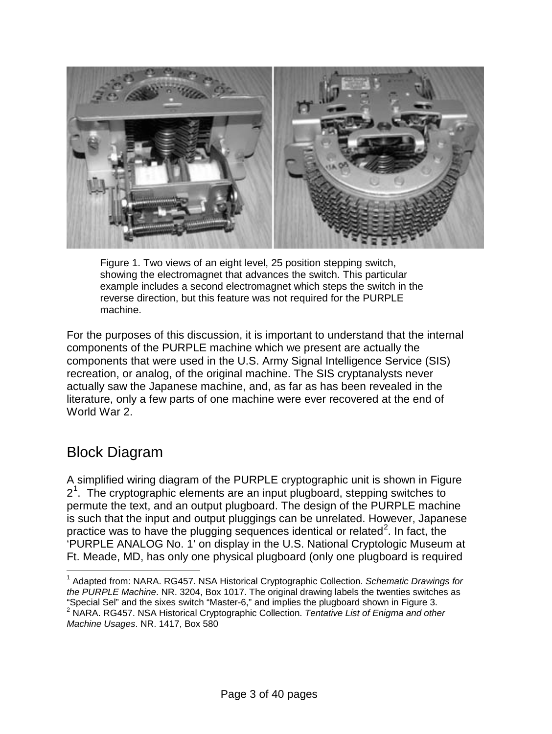

Figure 1. Two views of an eight level, 25 position stepping switch, showing the electromagnet that advances the switch. This particular example includes a second electromagnet which steps the switch in the reverse direction, but this feature was not required for the PURPLE machine.

For the purposes of this discussion, it is important to understand that the internal components of the PURPLE machine which we present are actually the components that were used in the U.S. Army Signal Intelligence Service (SIS) recreation, or analog, of the original machine. The SIS cryptanalysts never actually saw the Japanese machine, and, as far as has been revealed in the literature, only a few parts of one machine were ever recovered at the end of World War 2.

#### Block Diagram

A simplified wiring diagram of the PURPLE cryptographic unit is shown in Figure 2<sup>[1](#page-2-0)</sup>. The cryptographic elements are an input plugboard, stepping switches to permute the text, and an output plugboard. The design of the PURPLE machine is such that the input and output pluggings can be unrelated. However, Japanese practice was to have the plugging sequences identical or related<sup>[2](#page-2-1)</sup>. In fact, the 'PURPLE ANALOG No. 1' on display in the U.S. National Cryptologic Museum at Ft. Meade, MD, has only one physical plugboard (only one plugboard is required

<span id="page-2-1"></span><span id="page-2-0"></span> <sup>1</sup> Adapted from: NARA. RG457. NSA Historical Cryptographic Collection. *Schematic Drawings for the PURPLE Machine*. NR. 3204, Box 1017. The original drawing labels the twenties switches as "Special Sel" and the sixes switch "Master-6," and implies the plugboard shown in Figure 3. <sup>2</sup> NARA. RG457. NSA Historical Cryptographic Collection. *Tentative List of Enigma and other Machine Usages*. NR. 1417, Box 580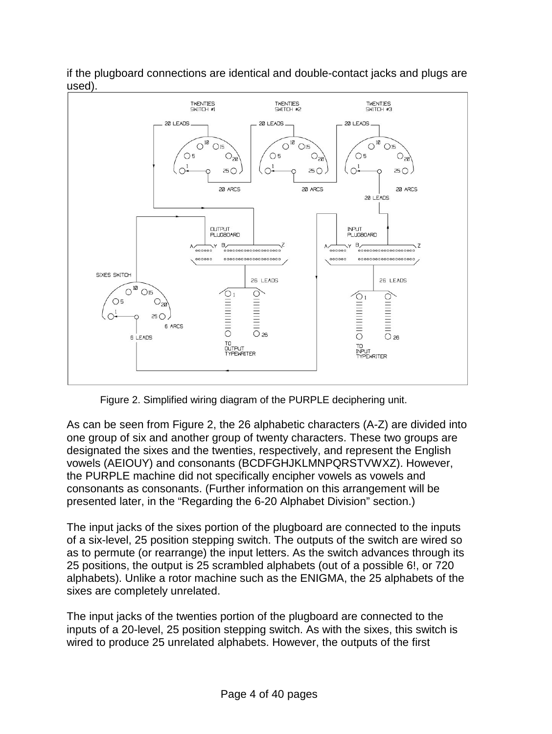

if the plugboard connections are identical and double-contact jacks and plugs are used).

Figure 2. Simplified wiring diagram of the PURPLE deciphering unit.

As can be seen from Figure 2, the 26 alphabetic characters (A-Z) are divided into one group of six and another group of twenty characters. These two groups are designated the sixes and the twenties, respectively, and represent the English vowels (AEIOUY) and consonants (BCDFGHJKLMNPQRSTVWXZ). However, the PURPLE machine did not specifically encipher vowels as vowels and consonants as consonants. (Further information on this arrangement will be presented later, in the "Regarding the 6-20 Alphabet Division" section.)

The input jacks of the sixes portion of the plugboard are connected to the inputs of a six-level, 25 position stepping switch. The outputs of the switch are wired so as to permute (or rearrange) the input letters. As the switch advances through its 25 positions, the output is 25 scrambled alphabets (out of a possible 6!, or 720 alphabets). Unlike a rotor machine such as the ENIGMA, the 25 alphabets of the sixes are completely unrelated.

The input jacks of the twenties portion of the plugboard are connected to the inputs of a 20-level, 25 position stepping switch. As with the sixes, this switch is wired to produce 25 unrelated alphabets. However, the outputs of the first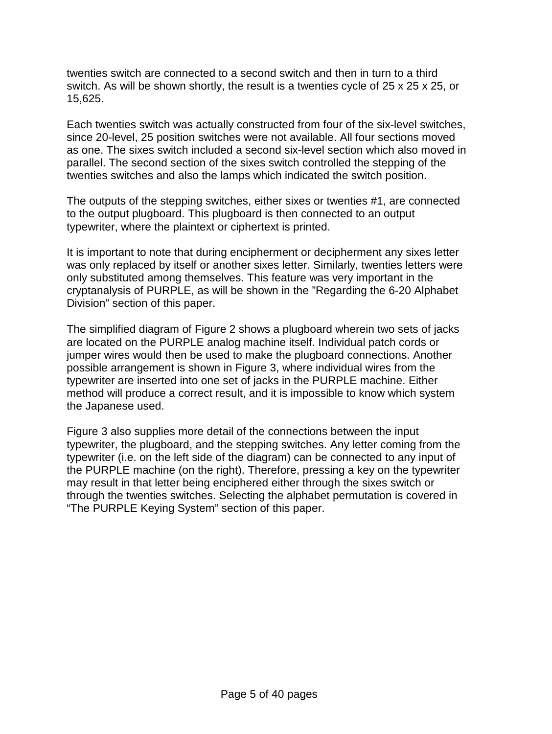twenties switch are connected to a second switch and then in turn to a third switch. As will be shown shortly, the result is a twenties cycle of 25 x 25 x 25, or 15,625.

Each twenties switch was actually constructed from four of the six-level switches, since 20-level, 25 position switches were not available. All four sections moved as one. The sixes switch included a second six-level section which also moved in parallel. The second section of the sixes switch controlled the stepping of the twenties switches and also the lamps which indicated the switch position.

The outputs of the stepping switches, either sixes or twenties #1, are connected to the output plugboard. This plugboard is then connected to an output typewriter, where the plaintext or ciphertext is printed.

It is important to note that during encipherment or decipherment any sixes letter was only replaced by itself or another sixes letter. Similarly, twenties letters were only substituted among themselves. This feature was very important in the cryptanalysis of PURPLE, as will be shown in the "Regarding the 6-20 Alphabet Division" section of this paper.

The simplified diagram of Figure 2 shows a plugboard wherein two sets of jacks are located on the PURPLE analog machine itself. Individual patch cords or jumper wires would then be used to make the plugboard connections. Another possible arrangement is shown in Figure 3, where individual wires from the typewriter are inserted into one set of jacks in the PURPLE machine. Either method will produce a correct result, and it is impossible to know which system the Japanese used.

Figure 3 also supplies more detail of the connections between the input typewriter, the plugboard, and the stepping switches. Any letter coming from the typewriter (i.e. on the left side of the diagram) can be connected to any input of the PURPLE machine (on the right). Therefore, pressing a key on the typewriter may result in that letter being enciphered either through the sixes switch or through the twenties switches. Selecting the alphabet permutation is covered in "The PURPLE Keying System" section of this paper.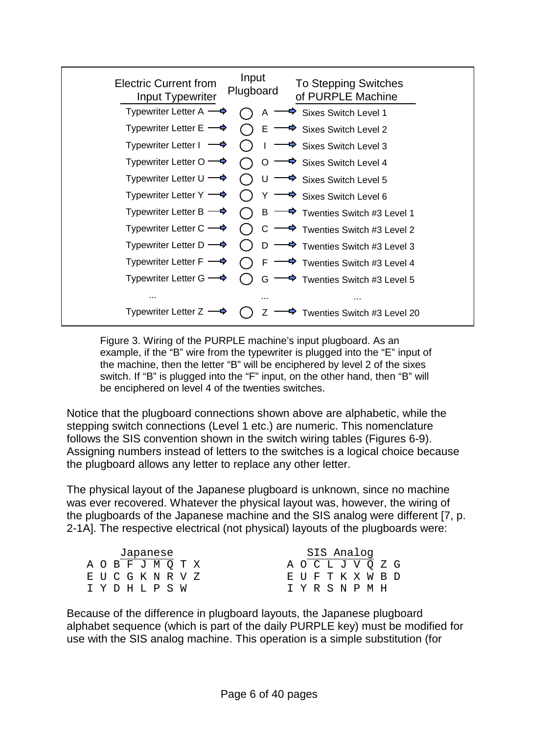| <b>Electric Current from</b><br>Input Typewriter | Input<br><b>To Stepping Switches</b><br>Plugboard<br>of PURPLE Machine                          |
|--------------------------------------------------|-------------------------------------------------------------------------------------------------|
|                                                  | Typewriter Letter A $\rightarrow$ ( ) A $\rightarrow$ Sixes Switch Level 1                      |
|                                                  | Typewriter Letter E $\longrightarrow$ $\bigcap$ E $\longrightarrow$ Sixes Switch Level 2        |
|                                                  | Typewriter Letter $1 \rightarrow \bigcirc 1 \rightarrow \text{Sixes Switch Level 3}$            |
|                                                  | Typewriter Letter O $\rightarrow$ $\bigcirc$ O $\rightarrow$ Sixes Switch Level 4               |
|                                                  | Typewriter Letter $U \longrightarrow \bigcap U \longrightarrow$ Sixes Switch Level 5            |
|                                                  | Typewriter Letter $Y \longrightarrow \bigcap Y \longrightarrow$ Sixes Switch Level 6            |
|                                                  | Typewriter Letter B $\longrightarrow$ ( ) B $\longrightarrow$ Twenties Switch #3 Level 1        |
|                                                  | Typewriter Letter C $\longrightarrow$ $\bigcirc$ C $\longrightarrow$ Twenties Switch #3 Level 2 |
|                                                  | Typewriter Letter D $\longrightarrow$ $\bigcirc$ D $\longrightarrow$ Twenties Switch #3 Level 3 |
|                                                  | Typewriter Letter $F \longrightarrow \bigcap F \longrightarrow$ Twenties Switch #3 Level 4      |
|                                                  | Typewriter Letter G $\longrightarrow$ $\bigcirc$ G $\longrightarrow$ Twenties Switch #3 Level 5 |
| $\cdots$                                         |                                                                                                 |
| Typewriter Letter Z $\longrightarrow$            | $\blacktriangleright$ Twenties Switch #3 Level 20<br>( ) Z                                      |

Figure 3. Wiring of the PURPLE machine's input plugboard. As an example, if the "B" wire from the typewriter is plugged into the "E" input of the machine, then the letter "B" will be enciphered by level 2 of the sixes switch. If "B" is plugged into the "F" input, on the other hand, then "B" will be enciphered on level 4 of the twenties switches.

Notice that the plugboard connections shown above are alphabetic, while the stepping switch connections (Level 1 etc.) are numeric. This nomenclature follows the SIS convention shown in the switch wiring tables (Figures 6-9). Assigning numbers instead of letters to the switches is a logical choice because the plugboard allows any letter to replace any other letter.

The physical layout of the Japanese plugboard is unknown, since no machine was ever recovered. Whatever the physical layout was, however, the wiring of the plugboards of the Japanese machine and the SIS analog were different [7, p. 2-1A]. The respective electrical (not physical) layouts of the plugboards were:

|  |  |  | Japanese         |                   |  | SIS Analog        |  |  |  |
|--|--|--|------------------|-------------------|--|-------------------|--|--|--|
|  |  |  |                  | A O B F J M Q T X |  | A O C L J V O Z G |  |  |  |
|  |  |  |                  | E U C G K N R V Z |  | EUFTKXWBD         |  |  |  |
|  |  |  | T Y D H T, P S W |                   |  | T Y R S N P M H   |  |  |  |
|  |  |  |                  |                   |  |                   |  |  |  |

Because of the difference in plugboard layouts, the Japanese plugboard alphabet sequence (which is part of the daily PURPLE key) must be modified for use with the SIS analog machine. This operation is a simple substitution (for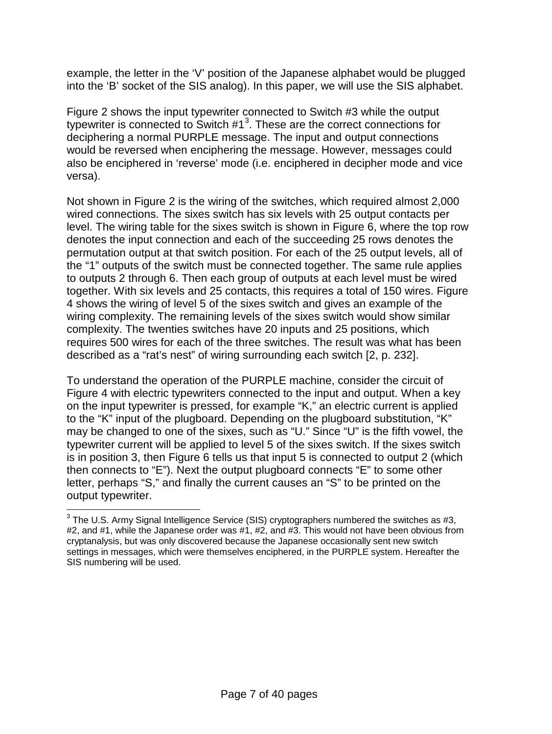example, the letter in the 'V' position of the Japanese alphabet would be plugged into the 'B' socket of the SIS analog). In this paper, we will use the SIS alphabet.

Figure 2 shows the input typewriter connected to Switch #3 while the output typewriter is connected to Switch  $#1<sup>3</sup>$  $#1<sup>3</sup>$  $#1<sup>3</sup>$ . These are the correct connections for deciphering a normal PURPLE message. The input and output connections would be reversed when enciphering the message. However, messages could also be enciphered in 'reverse' mode (i.e. enciphered in decipher mode and vice versa).

Not shown in Figure 2 is the wiring of the switches, which required almost 2,000 wired connections. The sixes switch has six levels with 25 output contacts per level. The wiring table for the sixes switch is shown in Figure 6, where the top row denotes the input connection and each of the succeeding 25 rows denotes the permutation output at that switch position. For each of the 25 output levels, all of the "1" outputs of the switch must be connected together. The same rule applies to outputs 2 through 6. Then each group of outputs at each level must be wired together. With six levels and 25 contacts, this requires a total of 150 wires. Figure 4 shows the wiring of level 5 of the sixes switch and gives an example of the wiring complexity. The remaining levels of the sixes switch would show similar complexity. The twenties switches have 20 inputs and 25 positions, which requires 500 wires for each of the three switches. The result was what has been described as a "rat's nest" of wiring surrounding each switch [2, p. 232].

To understand the operation of the PURPLE machine, consider the circuit of Figure 4 with electric typewriters connected to the input and output. When a key on the input typewriter is pressed, for example "K," an electric current is applied to the "K" input of the plugboard. Depending on the plugboard substitution, "K" may be changed to one of the sixes, such as "U." Since "U" is the fifth vowel, the typewriter current will be applied to level 5 of the sixes switch. If the sixes switch is in position 3, then Figure 6 tells us that input 5 is connected to output 2 (which then connects to "E"). Next the output plugboard connects "E" to some other letter, perhaps "S," and finally the current causes an "S" to be printed on the output typewriter.

<span id="page-6-0"></span> $3$  The U.S. Army Signal Intelligence Service (SIS) cryptographers numbered the switches as #3, #2, and #1, while the Japanese order was #1, #2, and #3. This would not have been obvious from cryptanalysis, but was only discovered because the Japanese occasionally sent new switch settings in messages, which were themselves enciphered, in the PURPLE system. Hereafter the SIS numbering will be used.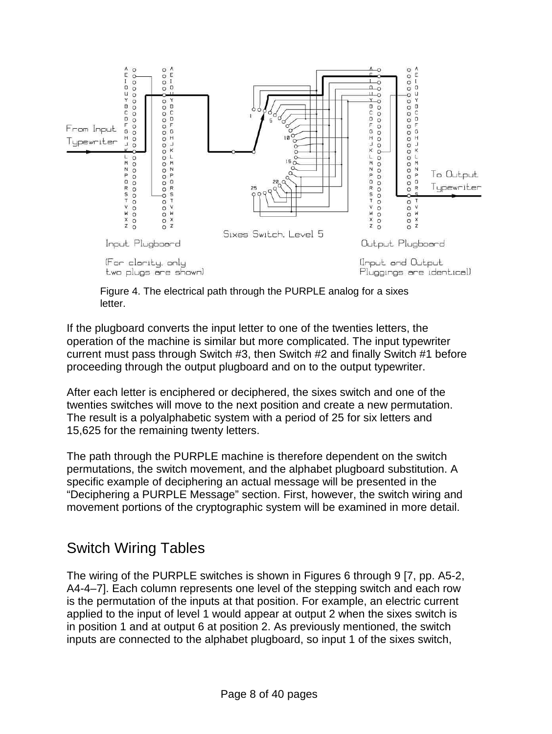

Figure 4. The electrical path through the PURPLE analog for a sixes letter.

If the plugboard converts the input letter to one of the twenties letters, the operation of the machine is similar but more complicated. The input typewriter current must pass through Switch #3, then Switch #2 and finally Switch #1 before proceeding through the output plugboard and on to the output typewriter.

After each letter is enciphered or deciphered, the sixes switch and one of the twenties switches will move to the next position and create a new permutation. The result is a polyalphabetic system with a period of 25 for six letters and 15,625 for the remaining twenty letters.

The path through the PURPLE machine is therefore dependent on the switch permutations, the switch movement, and the alphabet plugboard substitution. A specific example of deciphering an actual message will be presented in the "Deciphering a PURPLE Message" section. First, however, the switch wiring and movement portions of the cryptographic system will be examined in more detail.

#### Switch Wiring Tables

The wiring of the PURPLE switches is shown in Figures 6 through 9 [7, pp. A5-2, A4-4–7]. Each column represents one level of the stepping switch and each row is the permutation of the inputs at that position. For example, an electric current applied to the input of level 1 would appear at output 2 when the sixes switch is in position 1 and at output 6 at position 2. As previously mentioned, the switch inputs are connected to the alphabet plugboard, so input 1 of the sixes switch,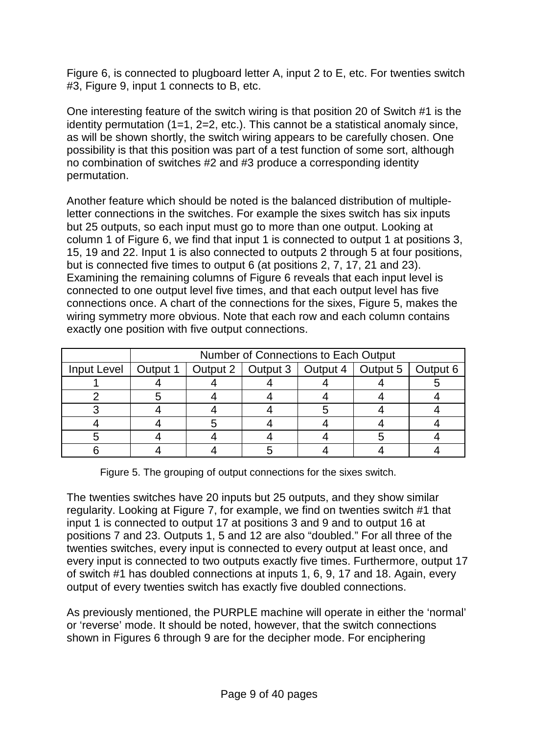Figure 6, is connected to plugboard letter A, input 2 to E, etc. For twenties switch #3, Figure 9, input 1 connects to B, etc.

One interesting feature of the switch wiring is that position 20 of Switch #1 is the identity permutation (1=1, 2=2, etc.). This cannot be a statistical anomaly since, as will be shown shortly, the switch wiring appears to be carefully chosen. One possibility is that this position was part of a test function of some sort, although no combination of switches #2 and #3 produce a corresponding identity permutation.

Another feature which should be noted is the balanced distribution of multipleletter connections in the switches. For example the sixes switch has six inputs but 25 outputs, so each input must go to more than one output. Looking at column 1 of Figure 6, we find that input 1 is connected to output 1 at positions 3, 15, 19 and 22. Input 1 is also connected to outputs 2 through 5 at four positions, but is connected five times to output 6 (at positions 2, 7, 17, 21 and 23). Examining the remaining columns of Figure 6 reveals that each input level is connected to one output level five times, and that each output level has five connections once. A chart of the connections for the sixes, Figure 5, makes the wiring symmetry more obvious. Note that each row and each column contains exactly one position with five output connections.

|             |          | <b>Number of Connections to Each Output</b>          |  |  |
|-------------|----------|------------------------------------------------------|--|--|
| Input Level | Output 1 | Output 2   Output 3   Output 4   Output 5   Output 6 |  |  |
|             |          |                                                      |  |  |
|             |          |                                                      |  |  |
|             |          |                                                      |  |  |
|             |          |                                                      |  |  |
|             |          |                                                      |  |  |
|             |          |                                                      |  |  |

Figure 5. The grouping of output connections for the sixes switch.

The twenties switches have 20 inputs but 25 outputs, and they show similar regularity. Looking at Figure 7, for example, we find on twenties switch #1 that input 1 is connected to output 17 at positions 3 and 9 and to output 16 at positions 7 and 23. Outputs 1, 5 and 12 are also "doubled." For all three of the twenties switches, every input is connected to every output at least once, and every input is connected to two outputs exactly five times. Furthermore, output 17 of switch #1 has doubled connections at inputs 1, 6, 9, 17 and 18. Again, every output of every twenties switch has exactly five doubled connections.

As previously mentioned, the PURPLE machine will operate in either the 'normal' or 'reverse' mode. It should be noted, however, that the switch connections shown in Figures 6 through 9 are for the decipher mode. For enciphering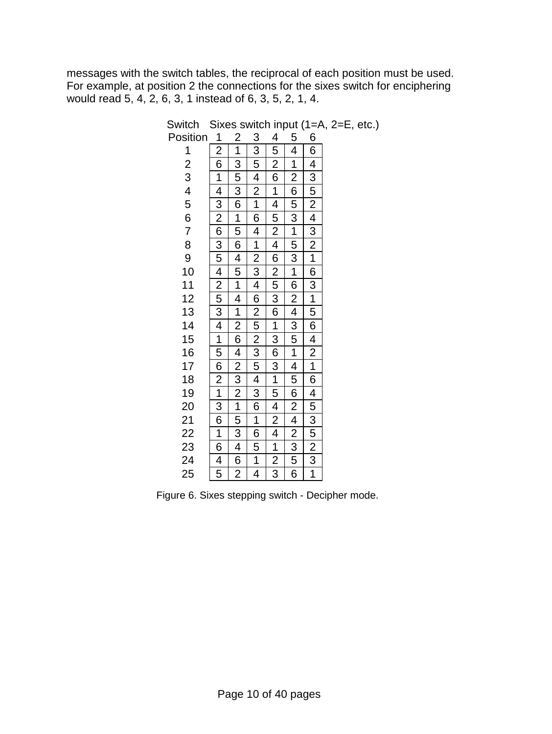messages with the switch tables, the reciprocal of each position must be used. For example, at position 2 the connections for the sixes switch for enciphering would read 5, 4, 2, 6, 3, 1 instead of 6, 3, 5, 2, 1, 4.

| $\frac{1}{2}$ 6 $\frac{1}{4}$ $\frac{4}{3}$ $\frac{2}{6}$ 6 $\frac{3}{5}$ $\frac{4}{2}$ $\frac{5}{5}$ $\frac{3}{4}$ $\frac{4}{1}$ $\frac{1}{5}$ 6 $\frac{2}{1}$ $\frac{1}{3}$ 6 $\frac{1}{6}$ $\frac{4}{4}$ $\frac{5}{5}$ |                                                                                                                                                                                                                                                                                       | $\frac{3}{3} \frac{5}{5} \frac{4}{1} \frac{2}{1} \frac{1}{6} \frac{6}{4} \frac{4}{1} \frac{1}{2} \frac{2}{3} \frac{3}{4} \frac{4}{6} \frac{6}{2} \frac{2}{3} \frac{5}{5} \frac{2}{5} \frac{3}{4} \frac{5}{3} \frac{6}{6} \frac{1}{1} \frac{6}{6} \frac{5}{5} \frac{1}{1} \frac{4}{4}$ |                                                                                                                                                                                                                                                                                                               | $\frac{5}{4}$ $\frac{4}{1}$ $\frac{1}{2}$ $\frac{6}{6}$ $\frac{5}{5}$ $\frac{3}{3}$ $\frac{1}{1}$ $\frac{6}{6}$ $\frac{2}{2}$ $\frac{4}{4}$ $\frac{3}{5}$ $\frac{5}{1}$ $\frac{1}{4}$ $\frac{4}{5}$ $\frac{6}{6}$ $\frac{2}{2}$ $\frac{4}{3}$ $\frac{2}{5}$ $\frac{3}{6}$ |                                                                                                                                                                                                                                                                                                       |
|---------------------------------------------------------------------------------------------------------------------------------------------------------------------------------------------------------------------------|---------------------------------------------------------------------------------------------------------------------------------------------------------------------------------------------------------------------------------------------------------------------------------------|---------------------------------------------------------------------------------------------------------------------------------------------------------------------------------------------------------------------------------------------------------------------------------------|---------------------------------------------------------------------------------------------------------------------------------------------------------------------------------------------------------------------------------------------------------------------------------------------------------------|---------------------------------------------------------------------------------------------------------------------------------------------------------------------------------------------------------------------------------------------------------------------------|-------------------------------------------------------------------------------------------------------------------------------------------------------------------------------------------------------------------------------------------------------------------------------------------------------|
|                                                                                                                                                                                                                           |                                                                                                                                                                                                                                                                                       |                                                                                                                                                                                                                                                                                       |                                                                                                                                                                                                                                                                                                               |                                                                                                                                                                                                                                                                           |                                                                                                                                                                                                                                                                                                       |
|                                                                                                                                                                                                                           | $\frac{2}{1} \frac{1}{3} \frac{3}{5} \frac{5}{3} \frac{3}{6} \frac{6}{1} \frac{1}{5} \frac{4}{6} \frac{5}{1} \frac{1}{4} \frac{4}{1} \frac{1}{2} \frac{2}{6} \frac{6}{4} \frac{4}{2} \frac{2}{3} \frac{3}{2} \frac{2}{1} \frac{1}{5} \frac{5}{3} \frac{3}{4} \frac{4}{6} \frac{2}{2}$ |                                                                                                                                                                                                                                                                                       | $\frac{4}{5} \frac{5}{2} \frac{2}{6} \frac{6}{1} \frac{1}{4} \frac{4}{5} \frac{5}{2} \frac{2}{4} \frac{4}{6} \frac{2}{2} \frac{5}{3} \frac{3}{6} \frac{6}{1} \frac{1}{3} \frac{3}{6} \frac{6}{3} \frac{3}{1} \frac{1}{1} \frac{5}{5} \frac{4}{4} \frac{2}{2} \frac{4}{4} \frac{1}{1} \frac{2}{2} \frac{3}{3}$ |                                                                                                                                                                                                                                                                           | $\frac{6}{6}$ $\frac{6}{4}$ $\frac{4}{3}$ $\frac{5}{2}$ $\frac{2}{4}$ $\frac{4}{3}$ $\frac{2}{2}$ $\frac{1}{1}$ $\frac{6}{6}$ $\frac{3}{4}$ $\frac{1}{2}$ $\frac{6}{1}$ $\frac{4}{2}$ $\frac{1}{1}$ $\frac{6}{1}$ $\frac{4}{1}$ $\frac{5}{1}$ $\frac{3}{5}$ $\frac{5}{2}$ $\frac{2}{3}$ $\frac{1}{1}$ |
|                                                                                                                                                                                                                           |                                                                                                                                                                                                                                                                                       |                                                                                                                                                                                                                                                                                       |                                                                                                                                                                                                                                                                                                               |                                                                                                                                                                                                                                                                           |                                                                                                                                                                                                                                                                                                       |

Switch Sixes switch input (1=A, 2=E, etc.) Pos

Figure 6. Sixes stepping switch - Decipher mode.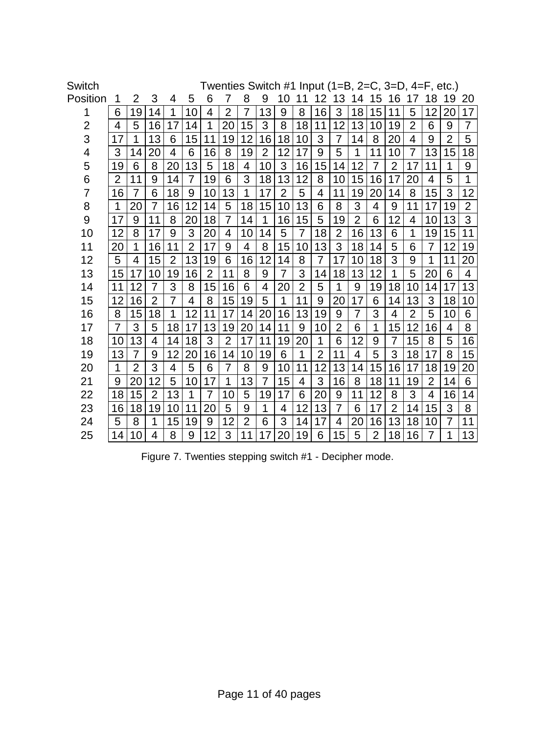| Switch   |                |                |                |                |                |                |                |                |                |                |                |                |                |                |                |                | Twenties Switch #1 Input (1=B, 2=C, 3=D, 4=F, etc.) |                |                |                |
|----------|----------------|----------------|----------------|----------------|----------------|----------------|----------------|----------------|----------------|----------------|----------------|----------------|----------------|----------------|----------------|----------------|-----------------------------------------------------|----------------|----------------|----------------|
| Position | 1              | 2              | 3              | 4              | 5              | 6              | 7              | 8              | 9              | 10             | 11             | 12             | 13             | 14             | 15             | 16             | 1<br>7                                              | 18             | 19             | 20             |
| 1        | 6              | 19             | 14             | 1              | 10             | 4              | $\overline{2}$ | $\overline{7}$ | 13             | 9              | 8              | 16             | 3              | 18             | 15             | 11             | 5                                                   | 12             | 20             | 17             |
| 2        | 4              | 5              | 16             | 17             | 14             | 1              | 20             | 15             | 3              | 8              | 18             | 11             | 12             | 13             | 10             | 19             | $\overline{2}$                                      | 6              | 9              | $\overline{7}$ |
| 3        | 17             | 1              | 13             | 6              | 15             | 11             | 19             | 12             | 16             | 18             | 10             | 3              | 7              | 14             | 8              | 20             | 4                                                   | 9              | $\overline{2}$ | 5              |
| 4        | 3              | 14             | 20             | $\overline{4}$ | 6              | 16             | 8              | 19             | $\overline{2}$ | 12             | 17             | 9              | 5              | 1              | 11             | 10             | $\overline{7}$                                      | 13             | 15             | 18             |
| 5        | 19             | 6              | 8              | 20             | 13             | 5              | 18             | 4              | 10             | 3              | 16             | 15             | 14             | 12             | $\overline{7}$ | $\overline{2}$ | 17                                                  | 11             | 1              | 9              |
| 6        | $\overline{2}$ | 11             | 9              | 14             | $\overline{7}$ | 19             | 6              | 3              | 18             | 13             | 12             | 8              | 10             | 15             | 16             | 17             | 20                                                  | 4              | 5              | 1              |
| 7        | 16             | $\overline{7}$ | 6              | 18             | 9              | 10             | 13             | 1              | 17             | $\overline{2}$ | 5              | 4              | 11             | 19             | 20             | 14             | 8                                                   | 15             | 3              | 12             |
| 8        | 1              | 20             | $\overline{7}$ | 16             | 12             | 14             | 5              | 18             | 15             | 10             | 13             | 6              | 8              | 3              | 4              | 9              | 11                                                  | 17             | 19             | $\overline{2}$ |
| 9        | 17             | 9              | 11             | 8              | 20             | 18             | 7              | 14             | 1              | 16             | 15             | 5              | 19             | $\overline{2}$ | 6              | 12             | 4                                                   | 10             | 13             | 3              |
| 10       | 12             | 8              | 17             | 9              | 3              | 20             | 4              | 10             | 14             | 5              | $\overline{7}$ | 18             | $\overline{2}$ | 16             | 13             | 6              | 1                                                   | 19             | 15             | 11             |
| 11       | 20             | 1              | 16             | 11             | $\overline{2}$ | 17             | 9              | 4              | 8              | 15             | 10             | 13             | 3              | 18             | 14             | 5              | 6                                                   | 7              | 12             | 19             |
| 12       | 5              | 4              | 15             | $\overline{2}$ | 13             | 19             | 6              | 16             | 12             | 14             | 8              | 7              | 17             | 10             | 18             | 3              | 9                                                   | 1              | 11             | 20             |
| 13       | 15             | 17             | 10             | 19             | 16             | $\overline{2}$ | 11             | 8              | 9              | 7              | 3              | 14             | 18             | 13             | 12             | 1              | 5                                                   | 20             | 6              | 4              |
| 14       | 11             | 12             | $\overline{7}$ | 3              | 8              | 15             | 16             | 6              | 4              | 20             | $\overline{2}$ | 5              | 1              | 9              | 19             | 18             | 10                                                  | 14             | 17             | 13             |
| 15       | 12             | 16             | $\overline{2}$ | 7              | 4              | 8              | 15             | 19             | 5              | 1              | 11             | 9              | 20             | 17             | 6              | 14             | 13                                                  | 3              | 18             | 10             |
| 16       | 8              | 15             | 18             | 1              | 12             | 11             | 17             | 14             | 20             | 16             | 13             | 19             | 9              | $\overline{7}$ | 3              | $\overline{4}$ | $\overline{2}$                                      | 5              | 10             | 6              |
| 17       | 7              | 3              | 5              | 18             | 17             | 13             | 19             | 20             | 14             | 11             | 9              | 10             | $\overline{2}$ | 6              | 1              | 15             | 12                                                  | 16             | 4              | 8              |
| 18       | 10             | 13             | 4              | 14             | 18             | 3              | $\overline{2}$ | 17             | 11             | 19             | 20             | 1              | 6              | 12             | 9              | $\overline{7}$ | 15                                                  | 8              | 5              | 16             |
| 19       | 13             | $\overline{7}$ | 9              | 12             | 20             | 16             | 14             | 10             | 19             | 6              | 1              | $\overline{2}$ | 11             | 4              | 5              | 3              | 18                                                  | 17             | 8              | 15             |
| 20       | 1              | $\overline{2}$ | 3              | 4              | 5              | 6              | 7              | 8              | 9              | 10             | 11             | 12             | 13             | 14             | 15             | 16             | 17                                                  | 18             | 19             | 20             |
| 21       | 9              | 20             | 12             | 5              | 10             | 17             | 1              | 13             | $\overline{7}$ | 15             | 4              | 3              | 16             | 8              | 18             | 11             | 19                                                  | $\overline{2}$ | 14             | 6              |
| 22       | 18             | 15             | $\overline{2}$ | 13             | 1              | $\overline{7}$ | 10             | 5              | 19             | 17             | 6              | 20             | 9              | 11             | 12             | 8              | 3                                                   | $\overline{4}$ | 16             | 14             |
| 23       | 16             | 18             | 19             | 10             | 11             | 20             | 5              | 9              | 1              | 4              | 12             | 13             | $\overline{7}$ | 6              | 17             | $\overline{2}$ | 14                                                  | 15             | 3              | 8              |
| 24       | 5              | 8              | 1              | 15             | 19             | 9              | 12             | $\overline{2}$ | 6              | 3              | 14             | 17             | 4              | 20             | 16             | 13             | 18                                                  | 10             | $\overline{7}$ | 11             |
| 25       | 14             | 10             | 4              | 8              | 9              | 12             | 3              | 11             | 17             | 20             | 19             | 6              | 15             | 5              | $\overline{2}$ | 18             | 16                                                  | 7              | 1              | 13             |

Figure 7. Twenties stepping switch #1 - Decipher mode.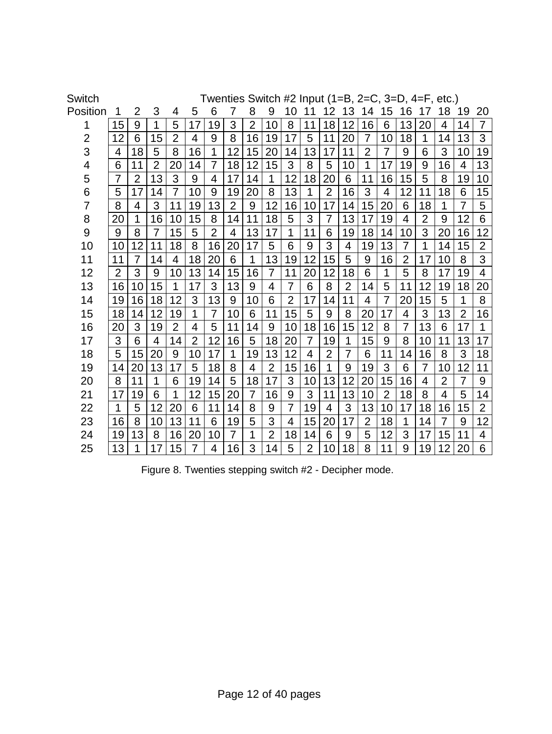| Switch         |                |                |                |                |                |                |                |                |                |                |                |                |                |                |                |                | Twenties Switch #2 Input (1=B, 2=C, 3=D, 4=F, etc.) |                |                |                |
|----------------|----------------|----------------|----------------|----------------|----------------|----------------|----------------|----------------|----------------|----------------|----------------|----------------|----------------|----------------|----------------|----------------|-----------------------------------------------------|----------------|----------------|----------------|
| Position       |                | 2              | 3              | 4              | 5              | 6              | 7              | 8              | 9              | 10             | 11             | 12             | 13             | 14             | 15             | 16             | 17                                                  | 18             | 19             | 20             |
| 1              | 15             | 9              | 1              | 5              | 17             | 19             | 3              | $\overline{2}$ | 10             | 8              | 11             | 18             | 12             | 16             | 6              | 13             | 20                                                  | 4              | 14             | $\overline{7}$ |
| $\overline{2}$ | 12             | 6              | 15             | $\overline{2}$ | $\overline{4}$ | 9              | 8              | 16             | 19             | 17             | 5              | 11             | 20             | $\overline{7}$ | 10             | 18             | 1                                                   | 14             | 13             | 3              |
| 3              | 4              | 18             | 5              | 8              | 16             | 1              | 12             | 15             | 20             | 14             | 13             | 17             | 11             | $\overline{2}$ | 7              | 9              | 6                                                   | 3              | 10             | 19             |
| 4              | 6              | 11             | $\overline{2}$ | 20             | 14             | 7              | 18             | 12             | 15             | 3              | 8              | 5              | 10             | 1              | 17             | 19             | 9                                                   | 16             | $\overline{4}$ | 13             |
| 5              | $\overline{7}$ | $\overline{2}$ | 13             | 3              | 9              | 4              | 17             | 14             | 1              | 12             | 18             | 20             | 6              | 11             | 16             | 15             | 5                                                   | 8              | 19             | 10             |
| 6              | 5              | 17             | 14             | $\overline{7}$ | 10             | 9              | 19             | 20             | 8              | 13             | 1              | $\overline{2}$ | 16             | 3              | 4              | 12             | 11                                                  | 18             | 6              | 15             |
| 7              | 8              | 4              | 3              | 11             | 19             | 13             | $\overline{2}$ | 9              | 12             | 16             | 10             | 17             | 14             | 15             | 20             | 6              | 18                                                  | 1              | $\overline{7}$ | 5              |
| 8              | 20             | 1              | 16             | 10             | 15             | 8              | 14             | 11             | 18             | 5              | 3              | 7              | 13             | 17             | 19             | 4              | $\overline{2}$                                      | 9              | 12             | 6              |
| 9              | 9              | 8              | $\overline{7}$ | 15             | 5              | $\overline{2}$ | 4              | 13             | 17             | 1              | 11             | 6              | 19             | 18             | 14             | 10             | 3                                                   | 20             | 16             | 12             |
| 10             | 10             | 12             | 11             | 18             | 8              | 16             | 20             | 17             | 5              | 6              | 9              | 3              | 4              | 19             | 13             | $\overline{7}$ | 1                                                   | 14             | 15             | $\overline{2}$ |
| 11             | 11             | 7              | 14             | 4              | 18             | 20             | 6              | 1              | 13             | 19             | 12             | 15             | 5              | 9              | 16             | $\overline{2}$ | 17                                                  | 10             | 8              | 3              |
| 12             | $\overline{2}$ | 3              | 9              | 10             | 13             | 14             | 15             | 16             | $\overline{7}$ | 11             | 20             | 12             | 18             | 6              | 1              | 5              | 8                                                   | 17             | 19             | 4              |
| 13             | 16             | 10             | 15             | 1              | 17             | 3              | 13             | 9              | 4              | $\overline{7}$ | 6              | 8              | $\overline{2}$ | 14             | 5              | 11             | 12                                                  | 19             | 18             | 20             |
| 14             | 19             | 16             | 18             | 12             | 3              | 13             | 9              | 10             | 6              | $\overline{2}$ | 17             | 14             | 11             | 4              | 7              | 20             | 15                                                  | 5              | 1              | 8              |
| 15             | 18             | 14             | 12             | 19             | 1              | $\overline{7}$ | 10             | 6              | 11             | 15             | 5              | 9              | 8              | 20             | 17             | 4              | 3                                                   | 13             | $\overline{2}$ | 16             |
| 16             | 20             | 3              | 19             | $\overline{2}$ | 4              | 5              | 11             | 14             | 9              | 10             | 18             | 16             | 15             | 12             | 8              | $\overline{7}$ | 13                                                  | 6              | 17             | 1              |
| 17             | 3              | 6              | 4              | 14             | $\overline{2}$ | 12             | 16             | 5              | 18             | 20             | $\overline{7}$ | 19             | 1              | 15             | 9              | 8              | 10                                                  | 11             | 13             | 17             |
| 18             | 5              | 15             | 20             | 9              | 10             | 17             | 1              | 19             | 13             | 12             | 4              | $\overline{2}$ | $\overline{7}$ | 6              | 11             | 14             | 16                                                  | 8              | 3              | 18             |
| 19             | 14             | 20             | 13             | 17             | 5              | 18             | 8              | $\overline{4}$ | $\overline{2}$ | 15             | 16             | 1              | 9              | 19             | 3              | 6              | $\overline{7}$                                      | 10             | 12             | 11             |
| 20             | 8              | 11             | 1              | 6              | 19             | 14             | 5              | 18             | 17             | 3              | 10             | 13             | 12             | 20             | 15             | 16             | 4                                                   | $\overline{2}$ | $\overline{7}$ | 9              |
| 21             | 17             | 19             | 6              | 1              | 12             | 15             | 20             | $\overline{7}$ | 16             | 9              | 3              | 11             | 13             | 10             | $\overline{2}$ | 18             | 8                                                   | $\overline{4}$ | 5              | 14             |
| 22             | 1              | 5              | 12             | 20             | 6              | 11             | 14             | 8              | 9              | $\overline{7}$ | 19             | $\overline{4}$ | 3              | 13             | 10             | 17             | 18                                                  | 16             | 15             | $\overline{2}$ |
| 23             | 16             | 8              | 10             | 13             | 11             | 6              | 19             | 5              | 3              | $\overline{4}$ | 15             | 20             | 17             | $\overline{2}$ | 18             | 1              | 14                                                  | 7              | 9              | 12             |
| 24             | 19             | 13             | 8              | 16             | 20             | 10             | 7              | 1              | $\overline{2}$ | 18             | 14             | 6              | 9              | 5              | 12             | 3              | 17                                                  | 15             | 11             | 4              |
| 25             | 13             | 1              | 17             | 15             | $\overline{7}$ | 4              | 16             | 3              | 14             | 5              | $\overline{2}$ | 10             | 18             | 8              | 11             | 9              | 19                                                  | 12             | 20             | 6              |

Figure 8. Twenties stepping switch #2 - Decipher mode.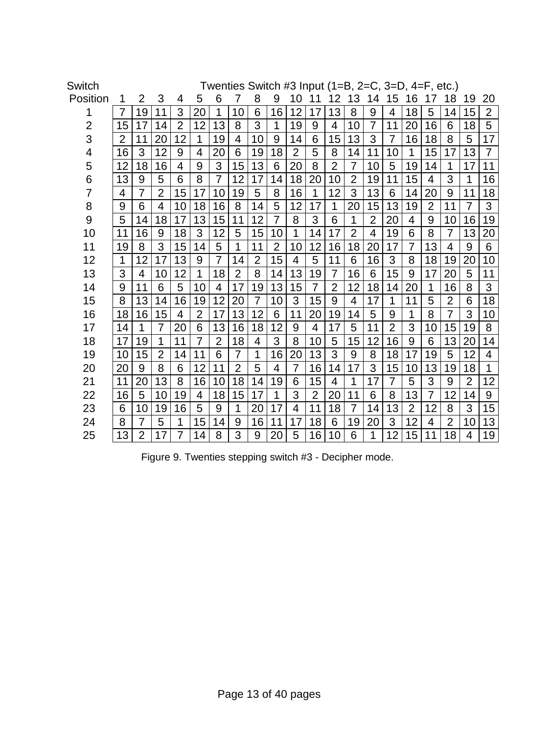| <b>Switch</b>  |                |                |                |                |                |                |                |                |             |                |                |                | Twenties Switch #3 Input $(1=B, 2=C, 3=D, 4=F, etc.)$ |                |                |                |                |                |                |                |
|----------------|----------------|----------------|----------------|----------------|----------------|----------------|----------------|----------------|-------------|----------------|----------------|----------------|-------------------------------------------------------|----------------|----------------|----------------|----------------|----------------|----------------|----------------|
| Position       | 1              | 2              | 3              | 4              | 5              | 6              | 7              | 8              | 9           | 10             | 11             | 12             | 13                                                    | 14             | 15             | 16             |                | 18             | 19             | 20             |
| 1              | $\overline{7}$ | 19             | 11             | 3              | 20             | 1              | 10             | 6              | 16          | 12             | 17             | 13             | 8                                                     | 9              | 4              | 18             | 5              | 14             | 15             | $\overline{2}$ |
| $\overline{2}$ | 15             | 17             | 14             | $\overline{2}$ | 12             | 13             | 8              | 3              | $\mathbf 1$ | 19             | 9              | $\overline{4}$ | 10                                                    | 7              | 11             | 20             | 16             | 6              | 18             | 5              |
| 3              | $\overline{2}$ | 11             | 20             | 12             | 1              | 19             | 4              | 10             | 9           | 14             | 6              | 15             | 13                                                    | 3              | 7              | 16             | 18             | 8              | 5              | 17             |
| 4              | 16             | 3              | 12             | 9              | 4              | 20             | 6              | 19             | 18          | $\overline{2}$ | 5              | 8              | 14                                                    | 11             | 10             | 1              | 15             | 17             | 13             | $\overline{7}$ |
| 5              | 12             | 18             | 16             | $\overline{4}$ | 9              | 3              | 15             | 13             | 6           | 20             | 8              | $\overline{2}$ | $\overline{7}$                                        | 10             | 5              | 19             | 14             | 1              | 17             | 11             |
| 6              | 13             | 9              | 5              | 6              | 8              | $\overline{7}$ | 12             | 17             | 14          | 18             | 20             | 10             | $\overline{2}$                                        | 19             | 11             | 15             | 4              | 3              | 1              | 16             |
| 7              | 4              | 7              | $\overline{2}$ | 15             | 17             | 10             | 19             | 5              | 8           | 16             | 1              | 12             | 3                                                     | 13             | 6              | 14             | 20             | 9              | 11             | 18             |
| 8              | 9              | 6              | $\overline{4}$ | 10             | 18             | 16             | 8              | 14             | 5           | 12             | 17             | 1              | 20                                                    | 15             | 13             | 19             | $\overline{2}$ | 11             | $\overline{7}$ | 3              |
| 9              | 5              | 14             | 18             | 17             | 13             | 15             | 11             | 12             | 7           | 8              | 3              | 6              | 1                                                     | $\overline{2}$ | 20             | 4              | 9              | 10             | 16             | 19             |
| 10             | 11             | 16             | 9              | 18             | 3              | 12             | 5              | 15             | 10          | 1              | 14             | 17             | $\overline{2}$                                        | $\overline{4}$ | 19             | 6              | 8              | $\overline{7}$ | 13             | 20             |
| 11             | 19             | 8              | 3              | 15             | 14             | 5              | 1              | 11             | 2           | 10             | 12             | 16             | 18                                                    | 20             | 17             | 7              | 13             | 4              | 9              | 6              |
| 12             | 1              | 12             | 17             | 13             | 9              | 7              | 14             | $\overline{2}$ | 15          | 4              | 5              | 11             | 6                                                     | 16             | 3              | 8              | 18             | 19             | 20             | 10             |
| 13             | 3              | 4              | 10             | 12             | 1              | 18             | $\overline{2}$ | 8              | 14          | 13             | 19             | $\overline{7}$ | 16                                                    | 6              | 15             | 9              | 17             | 20             | 5              | 11             |
| 14             | 9              | 11             | 6              | 5              | 10             | 4              | 17             | 19             | 13          | 15             | $\overline{7}$ | $\overline{2}$ | 12                                                    | 18             | 14             | 20             | 1              | 16             | 8              | 3              |
| 15             | 8              | 13             | 14             | 16             | 19             | 12             | 20             | $\overline{7}$ | 10          | 3              | 15             | 9              | 4                                                     | 17             | 1              | 11             | 5              | $\overline{2}$ | 6              | 18             |
| 16             | 18             | 16             | 15             | 4              | $\overline{2}$ | 17             | 13             | 12             | 6           | 11             | 20             | 19             | 14                                                    | 5              | 9              | 1              | 8              | $\overline{7}$ | 3              | 10             |
| 17             | 14             | 1              | $\overline{7}$ | 20             | 6              | 13             | 16             | 18             | 12          | 9              | 4              | 17             | 5                                                     | 11             | $\overline{2}$ | 3              | 10             | 15             | 19             | 8              |
| 18             | 17             | 19             | $\mathbf{1}$   | 11             | $\overline{7}$ | $\overline{2}$ | 18             | 4              | 3           | 8              | 10             | 5              | 15                                                    | 12             | 16             | 9              | 6              | 13             | 20             | 14             |
| 19             | 10             | 15             | $\overline{2}$ | 14             | 11             | 6              | $\overline{7}$ | 1              | 16          | 20             | 13             | 3              | 9                                                     | 8              | 18             | 17             | 19             | 5              | 12             | 4              |
| 20             | 20             | 9              | 8              | 6              | 12             | 11             | $\overline{2}$ | 5              | 4           | $\overline{7}$ | 16             | 14             | 17                                                    | 3              | 15             | 10             | 13             | 19             | 18             | 1              |
| 21             | 11             | 20             | 13             | 8              | 16             | 10             | 18             | 14             | 19          | 6              | 15             | $\overline{4}$ | 1                                                     | 17             | $\overline{7}$ | 5              | 3              | 9              | $\overline{2}$ | 12             |
| 22             | 16             | 5              | 10             | 19             | $\overline{4}$ | 18             | 15             | 17             | 1           | 3              | $\overline{2}$ | 20             | 11                                                    | 6              | 8              | 13             | $\overline{7}$ | 12             | 14             | 9              |
| 23             | 6              | 10             | 19             | 16             | 5              | 9              | 1              | 20             | 17          | 4              | 11             | 18             | $\overline{7}$                                        | 14             | 13             | $\overline{2}$ | 12             | 8              | 3              | 15             |
| 24             | 8              | $\overline{7}$ | 5              | 1              | 15             | 14             | 9              | 16             | 11          | 17             | 18             | 6              | 19                                                    | 20             | 3              | 12             | 4              | $\overline{2}$ | 10             | 13             |
| 25             | 13             | $\overline{2}$ | 17             | $\overline{7}$ | 14             | 8              | 3              | 9              | 20          | 5              | 16             | 10             | 6                                                     | 1              | 12             | 15             | 11             | 18             | 4              | 19             |

Figure 9. Twenties stepping switch #3 - Decipher mode.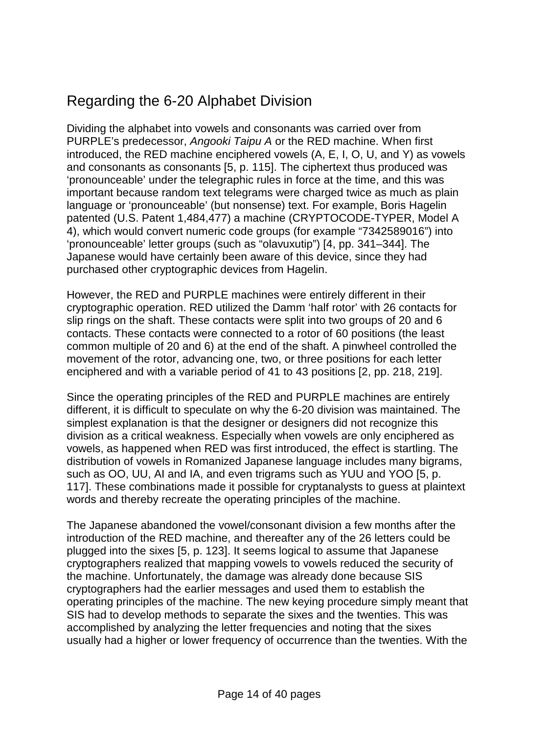# Regarding the 6-20 Alphabet Division

Dividing the alphabet into vowels and consonants was carried over from PURPLE's predecessor, *Angooki Taipu A* or the RED machine. When first introduced, the RED machine enciphered vowels (A, E, I, O, U, and Y) as vowels and consonants as consonants [5, p. 115]. The ciphertext thus produced was 'pronounceable' under the telegraphic rules in force at the time, and this was important because random text telegrams were charged twice as much as plain language or 'pronounceable' (but nonsense) text. For example, Boris Hagelin patented (U.S. Patent 1,484,477) a machine (CRYPTOCODE-TYPER, Model A 4), which would convert numeric code groups (for example "7342589016") into 'pronounceable' letter groups (such as "olavuxutip") [4, pp. 341–344]. The Japanese would have certainly been aware of this device, since they had purchased other cryptographic devices from Hagelin.

However, the RED and PURPLE machines were entirely different in their cryptographic operation. RED utilized the Damm 'half rotor' with 26 contacts for slip rings on the shaft. These contacts were split into two groups of 20 and 6 contacts. These contacts were connected to a rotor of 60 positions (the least common multiple of 20 and 6) at the end of the shaft. A pinwheel controlled the movement of the rotor, advancing one, two, or three positions for each letter enciphered and with a variable period of 41 to 43 positions [2, pp. 218, 219].

Since the operating principles of the RED and PURPLE machines are entirely different, it is difficult to speculate on why the 6-20 division was maintained. The simplest explanation is that the designer or designers did not recognize this division as a critical weakness. Especially when vowels are only enciphered as vowels, as happened when RED was first introduced, the effect is startling. The distribution of vowels in Romanized Japanese language includes many bigrams, such as OO, UU, AI and IA, and even trigrams such as YUU and YOO [5, p. 117]. These combinations made it possible for cryptanalysts to guess at plaintext words and thereby recreate the operating principles of the machine.

The Japanese abandoned the vowel/consonant division a few months after the introduction of the RED machine, and thereafter any of the 26 letters could be plugged into the sixes [5, p. 123]. It seems logical to assume that Japanese cryptographers realized that mapping vowels to vowels reduced the security of the machine. Unfortunately, the damage was already done because SIS cryptographers had the earlier messages and used them to establish the operating principles of the machine. The new keying procedure simply meant that SIS had to develop methods to separate the sixes and the twenties. This was accomplished by analyzing the letter frequencies and noting that the sixes usually had a higher or lower frequency of occurrence than the twenties. With the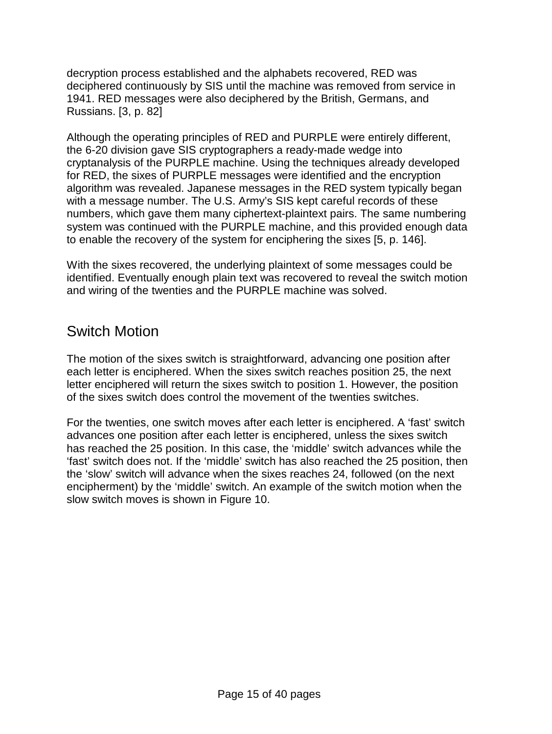decryption process established and the alphabets recovered, RED was deciphered continuously by SIS until the machine was removed from service in 1941. RED messages were also deciphered by the British, Germans, and Russians. [3, p. 82]

Although the operating principles of RED and PURPLE were entirely different, the 6-20 division gave SIS cryptographers a ready-made wedge into cryptanalysis of the PURPLE machine. Using the techniques already developed for RED, the sixes of PURPLE messages were identified and the encryption algorithm was revealed. Japanese messages in the RED system typically began with a message number. The U.S. Army's SIS kept careful records of these numbers, which gave them many ciphertext-plaintext pairs. The same numbering system was continued with the PURPLE machine, and this provided enough data to enable the recovery of the system for enciphering the sixes [5, p. 146].

With the sixes recovered, the underlying plaintext of some messages could be identified. Eventually enough plain text was recovered to reveal the switch motion and wiring of the twenties and the PURPLE machine was solved.

### Switch Motion

The motion of the sixes switch is straightforward, advancing one position after each letter is enciphered. When the sixes switch reaches position 25, the next letter enciphered will return the sixes switch to position 1. However, the position of the sixes switch does control the movement of the twenties switches.

For the twenties, one switch moves after each letter is enciphered. A 'fast' switch advances one position after each letter is enciphered, unless the sixes switch has reached the 25 position. In this case, the 'middle' switch advances while the 'fast' switch does not. If the 'middle' switch has also reached the 25 position, then the 'slow' switch will advance when the sixes reaches 24, followed (on the next encipherment) by the 'middle' switch. An example of the switch motion when the slow switch moves is shown in Figure 10.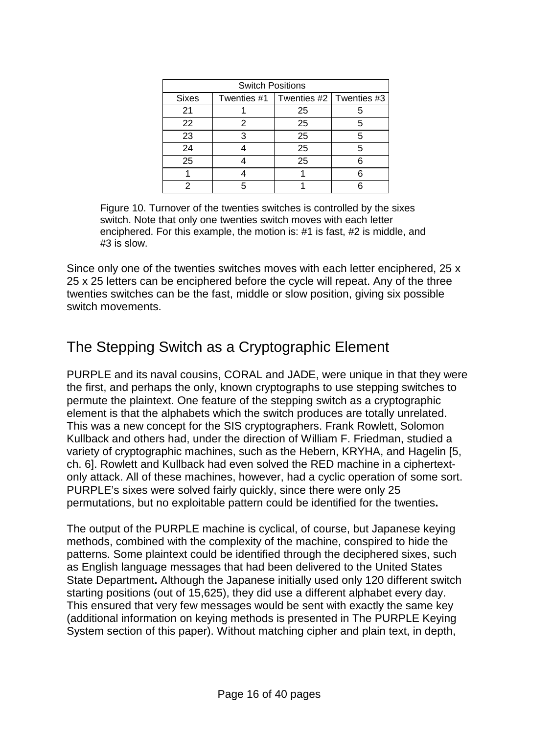|              | <b>Switch Positions</b> |                                         |   |
|--------------|-------------------------|-----------------------------------------|---|
| <b>Sixes</b> |                         | Twenties #1   Twenties #2   Twenties #3 |   |
| 21           |                         | 25                                      |   |
| 22           |                         | 25                                      | 5 |
| 23           | 3                       | 25                                      | 5 |
| 24           |                         | 25                                      | 5 |
| 25           |                         | 25                                      |   |
|              |                         |                                         |   |
|              |                         |                                         |   |

Figure 10. Turnover of the twenties switches is controlled by the sixes switch. Note that only one twenties switch moves with each letter enciphered. For this example, the motion is: #1 is fast, #2 is middle, and #3 is slow.

Since only one of the twenties switches moves with each letter enciphered, 25 x 25 x 25 letters can be enciphered before the cycle will repeat. Any of the three twenties switches can be the fast, middle or slow position, giving six possible switch movements.

# The Stepping Switch as a Cryptographic Element

PURPLE and its naval cousins, CORAL and JADE, were unique in that they were the first, and perhaps the only, known cryptographs to use stepping switches to permute the plaintext. One feature of the stepping switch as a cryptographic element is that the alphabets which the switch produces are totally unrelated. This was a new concept for the SIS cryptographers. Frank Rowlett, Solomon Kullback and others had, under the direction of William F. Friedman, studied a variety of cryptographic machines, such as the Hebern, KRYHA, and Hagelin [5, ch. 6]. Rowlett and Kullback had even solved the RED machine in a ciphertextonly attack. All of these machines, however, had a cyclic operation of some sort. PURPLE's sixes were solved fairly quickly, since there were only 25 permutations, but no exploitable pattern could be identified for the twenties**.**

The output of the PURPLE machine is cyclical, of course, but Japanese keying methods, combined with the complexity of the machine, conspired to hide the patterns. Some plaintext could be identified through the deciphered sixes, such as English language messages that had been delivered to the United States State Department**.** Although the Japanese initially used only 120 different switch starting positions (out of 15,625), they did use a different alphabet every day. This ensured that very few messages would be sent with exactly the same key (additional information on keying methods is presented in The PURPLE Keying System section of this paper). Without matching cipher and plain text, in depth,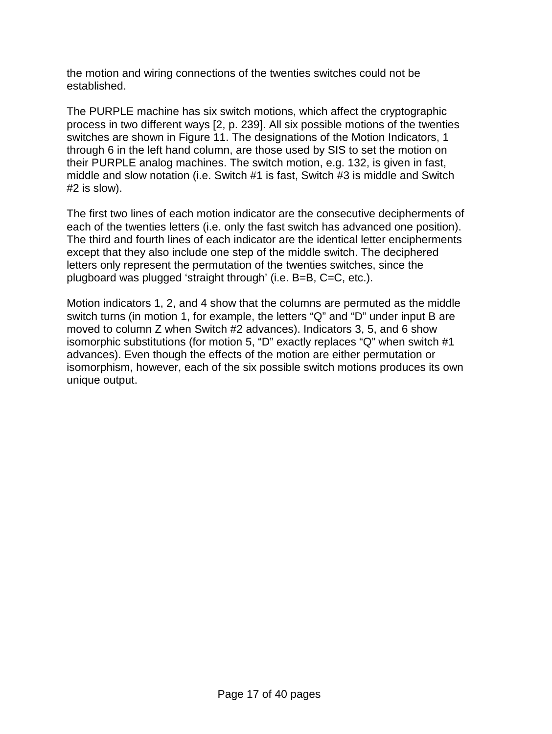the motion and wiring connections of the twenties switches could not be established.

The PURPLE machine has six switch motions, which affect the cryptographic process in two different ways [2, p. 239]. All six possible motions of the twenties switches are shown in Figure 11. The designations of the Motion Indicators, 1 through 6 in the left hand column, are those used by SIS to set the motion on their PURPLE analog machines. The switch motion, e.g. 132, is given in fast, middle and slow notation (i.e. Switch #1 is fast, Switch #3 is middle and Switch #2 is slow).

The first two lines of each motion indicator are the consecutive decipherments of each of the twenties letters (i.e. only the fast switch has advanced one position). The third and fourth lines of each indicator are the identical letter encipherments except that they also include one step of the middle switch. The deciphered letters only represent the permutation of the twenties switches, since the plugboard was plugged 'straight through' (i.e. B=B, C=C, etc.).

Motion indicators 1, 2, and 4 show that the columns are permuted as the middle switch turns (in motion 1, for example, the letters "Q" and "D" under input B are moved to column Z when Switch #2 advances). Indicators 3, 5, and 6 show isomorphic substitutions (for motion 5, "D" exactly replaces "Q" when switch #1 advances). Even though the effects of the motion are either permutation or isomorphism, however, each of the six possible switch motions produces its own unique output.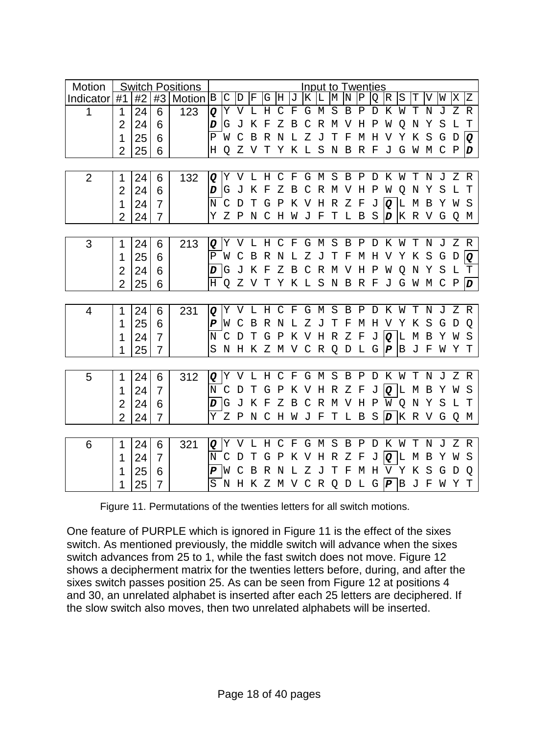| Motion         |                |    |                | <b>Switch Positions</b> |                  |             |             |     |                 |              |         |                |       | Input to Twenties |                |              |              |                  |              |             |             |                |     |                  |
|----------------|----------------|----|----------------|-------------------------|------------------|-------------|-------------|-----|-----------------|--------------|---------|----------------|-------|-------------------|----------------|--------------|--------------|------------------|--------------|-------------|-------------|----------------|-----|------------------|
| Indicator      | #1             | #2 | #3             | Motion $ B $            |                  | $\mathsf C$ | D           | ŀF  | G H             |              | IJ      | ΙK             | ١L    | M                 | IN             | IΡ           | O            | IR.              | S            | Т           | V           | W              | ΙX  | Z                |
| 1              | 1              | 24 | 6              | 123                     | Q                | Υ           | V           | L   | Η               | C            | F       | G              | М     | S                 | B              | Ρ            | D            | Κ                | W            | Т           | Ν           | J              | Ζ   | R                |
|                | $\overline{2}$ | 24 | 6              |                         | D                | G           | J           | Κ   | F               | Ζ            | В       | C              | R     | М                 | V              | Η            | Ρ            | W                | O            | N           | Υ           | S              | L   | т                |
|                | 1              | 25 | 6              |                         | Ρ                | W           | C           | В   | R               | N            | T.      | Ζ              | J     | т                 | F              | M            | Н            | V                | Υ            | K           | S           | G              | D   | Q                |
|                | $\overline{2}$ | 25 | 6              |                         | Н                | Q           | Ζ           | V   | т               | Υ            | K       | L              | S     | N                 | $\overline{B}$ | R            | $_{\rm F}$   | J                | G            | W           | М           | C              | Ρ   | D                |
|                |                |    |                |                         |                  |             |             |     |                 |              |         |                |       |                   |                |              |              |                  |              |             |             |                |     |                  |
| $\overline{2}$ | 1              | 24 | 6              | 132                     | Q                | Υ           | V           | L   | H               | C F          |         |                | G M S |                   | $\mathbf B$    | $\mathbf{P}$ | D            | Κ                | W            | $\mathbf T$ | N           | J              | Ζ   | R                |
|                | 2              | 24 | 6              |                         | D                | G           | J           | K   | F               | Ζ            | B       | C              |       | R M V             |                | Н            | P            | W                | Q            | N           | Υ           | S              | L   | Т                |
|                | 1              | 24 | $\overline{7}$ |                         | N                | C           | D           | т   | G               | P            | Κ       | V              | H     | R                 | Ζ              | F            | J            | Q                | ١L           | М           | B           | Y              | W   | - S              |
|                | $\overline{2}$ | 24 | 7              |                         | Υ                | Ζ           | $\mathbf P$ | N   | C               | Η            | W       | $\overline{J}$ | F     | т                 | L B            |              | S            | D                |              | K R V G     |             |                | Q   | M                |
|                |                |    |                |                         |                  |             |             |     |                 |              |         |                |       |                   |                |              |              |                  |              |             |             |                |     |                  |
| 3              | 1              | 24 | 6              | 213                     | Q                | Υ           |             | V L |                 |              |         |                |       | H C F G M S B     |                |              |              | PDKW             |              | Т           | $\mathbf N$ | $\overline{J}$ | Z R |                  |
|                | 1              | 25 | 6              |                         | Ρ                | W           | C           | B   | R               | N            | L       | z              | J     | Т                 | F              | М            | H            | V                | Υ            | K           | S           | G              | D   | Q                |
|                | $\overline{2}$ | 24 | 6              |                         | D                | G           | J           | Κ   | F               | Ζ            | Β       | $\mathsf{C}$   | R     | M V               |                | Η            | $\mathbf P$  | W                | O            | N           | Υ           | S              | L   | т                |
|                | $\overline{2}$ | 25 | 6              |                         | H                | Q           | Ζ           | V T |                 | Y            |         |                |       | K L S N B R F     |                |              |              | J                | G            | W           | M           | C              | Ρ   | $\boldsymbol{D}$ |
|                |                |    |                |                         |                  |             |             |     |                 |              |         |                |       |                   |                |              |              |                  |              |             |             |                |     |                  |
| 4              | 1              | 24 | 6              | 231                     | Q                | Υ           | V           | L   | H               | C F          |         |                | G M   | S                 | $\mathbf B$    | $\, {\bf P}$ | D            | Κ                | W            | Т           | N           | J              | Ζ   | R                |
|                | 1              | 25 | 6              |                         | $\boldsymbol{P}$ | W           | C           | В   | R N             |              | L Z     |                | J     | т                 | F              | М            | Η            | V                | Υ            | K           | S           | G              | D   | O                |
|                | 1              | 24 | $\overline{7}$ |                         | N                | C           | D           | т   | G               | $\mathbb P$  |         |                |       | K V H R           | - Z            | F            | J            | Q                | L            | М           | В           | Υ              | W   | S                |
|                | 1              | 25 | 7              |                         | S                | Ν           |             |     | H K Z M V C R Q |              |         |                |       |                   | D              | L G          |              | P                | $\mathsf{B}$ | J           | F           | W              | Υ   | т                |
|                |                |    |                |                         |                  |             |             |     |                 |              |         |                |       |                   |                |              |              |                  |              |             |             |                |     |                  |
| 5              | 1              | 24 | 6              | 312                     | Q                | Y           | V           | L   | Η               |              | $C$ $F$ |                | G M S |                   | B P            |              | D            | K                | W            | $\mathbf T$ | N           | J              | Ζ   | R                |
|                | 1              | 24 | $\overline{7}$ |                         | Ν                | C           | D           | т   | G               | P            |         |                |       | K V H R Z         |                | F            | J            | Q                | L            | М           | В           | Υ              | W   | -S               |
|                | $\overline{2}$ | 24 | 6              |                         | D                | G           | J           | Κ   | F               | Ζ            | B       | C              |       | R M V             |                | H            | $\mathbf{P}$ | W Q              |              | N           | Υ           | S              | L   | т                |
|                | $\overline{2}$ | 24 | 7              |                         | Y                | Z P         |             | N   | C               | H            |         | W J F          |       | $\mathbf T$       |                | L B          | - S          | $\boldsymbol{D}$ |              | K R V G     |             |                | Q   | M                |
|                |                |    |                |                         |                  |             |             |     |                 |              |         |                |       |                   |                |              |              |                  |              |             |             |                |     |                  |
| 6              | 1              | 24 | 6              | 321                     | Q                | Υ           | V           | L   | Н               | $\mathsf{C}$ | F       |                | G M   | S                 | B              | Ρ            | D            | К                | W            | Т           | N           | J              | Ζ   | R                |
|                | 1              | 24 | $\overline{7}$ |                         | N                | C           | D           | т   | G               | Ρ            | Κ       | V              | Η     | R                 | Ζ              | F            | J            | Q                | L            | М           | В           | Υ              | W   | S                |
|                | 1              | 25 | 6              |                         | P                | W           | C           | В   | R               | N            | T.      | Ζ              | J     | т                 | F              | М            | H            | V                | Υ            | К           | S           | G              | D   | O                |
|                | 1              | 25 | 7              |                         | S                |             | N H K       |     | Z M V C R       |              |         |                |       | Q                 | D              | L G          |              | P B J            |              |             | F           | W              | Υ   | т                |

Figure 11. Permutations of the twenties letters for all switch motions.

One feature of PURPLE which is ignored in Figure 11 is the effect of the sixes switch. As mentioned previously, the middle switch will advance when the sixes switch advances from 25 to 1, while the fast switch does not move. Figure 12 shows a decipherment matrix for the twenties letters before, during, and after the sixes switch passes position 25. As can be seen from Figure 12 at positions 4 and 30, an unrelated alphabet is inserted after each 25 letters are deciphered. If the slow switch also moves, then two unrelated alphabets will be inserted.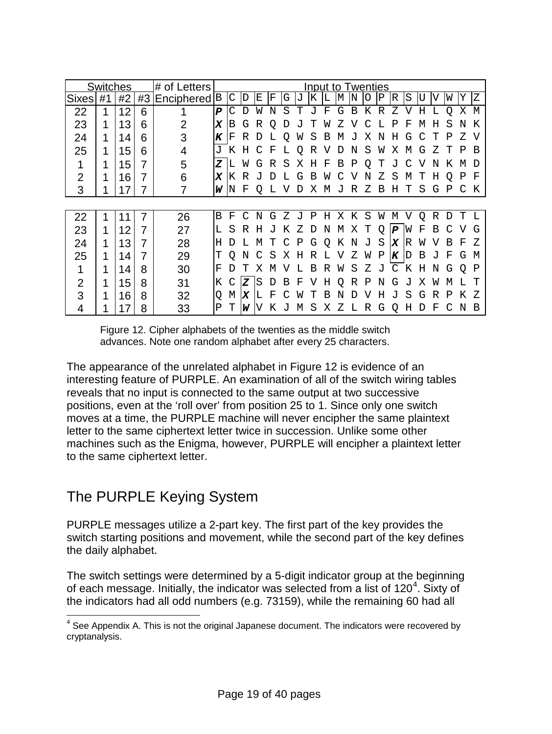|                | Switches |    |    | l# of Letters             |                  |    |    |    |   |   |    |   |   | Input to Twenties |   |    |             |                  |    |      |   |   |   |    |
|----------------|----------|----|----|---------------------------|------------------|----|----|----|---|---|----|---|---|-------------------|---|----|-------------|------------------|----|------|---|---|---|----|
| <b>Sixes</b>   | #1       | #2 | #3 | Enciphered <sup>[B]</sup> |                  | C  | D  | E. | F | G | J  | Κ | L | M                 | N | ∩  | $\mathbf P$ | lR.              | S  | ŢJ   | V | W | Y | Ζ  |
| 22             | 1        | 12 | 6  |                           | $\boldsymbol{P}$ | С  | D  | W  | N | S | Ͳ  | J | F | G                 | B | Κ  | R           | Ζ                | V  | Н    |   | O | X | M  |
| 23             | 1        | 13 | 6  | 2                         | X                | в  | G  | R  | Ő |   |    |   | W |                   |   |    |             | Ρ                | F  | М    | Η | S | N | Κ  |
| 24             | 1        | 14 | 6  | 3                         | K                | F  | R  | D  |   | O | W  | S | В | M                 |   | Х  | Ν           | Η                | G  | C    | Ͳ | Ρ | Z | V  |
| 25             | 1        | 15 | 6  | 4                         | J                | Κ  | Н  |    | F |   | O  | R |   | D                 | N | S  | W           | Χ                | м  | G    | Z |   | P | В  |
|                | 1        | 15 | 7  | 5                         | z                |    | W  | G  | R | S | Х  | Н | F | В                 | Ρ | Ő  | Т           | ιJ               |    |      | N | Κ | м | Ð  |
| $\overline{2}$ |          | 16 | 7  | 6                         | X                | Κ  | R  |    | ח |   | G  | В | W |                   |   | N  | 7.          | S                | М  | ' l' | Н | Ο | Ρ | F  |
| 3              |          | 17 |    |                           | W                | IN | F  | Q  |   |   |    | х | М | J                 | R | Ζ  | В           | Η                | т  | S    | G | Ρ |   | Κ  |
|                |          |    |    |                           |                  |    |    |    |   |   |    |   |   |                   |   |    |             |                  |    |      |   |   |   |    |
| 22             |          | 11 | 7  | 26                        | В                | F  | ⊂  | N  | G | Z | ιJ | Ρ | Η | Χ                 | Κ | S  | W           | М                | V. | O    | R | D | т | L  |
| 23             | 1        | 12 |    | 27                        |                  | S  | R  | Η  |   | Κ | Z  | D | N | M                 | Χ | т  | O           | $\boldsymbol{P}$ | W  | F    | В |   | V | G  |
| 24             | 1        | 13 |    | 28                        | Н                |    |    | М  |   | C | Ρ  | G | Q | Κ                 | N | J  | S           | X                | R  | W    |   | В | F | Z  |
| 25             | 1        | 14 |    | 29                        | т                | O  | Ν  | С  | S | Х | Η  | R | ⊥ | V                 | Ζ | W  | Ρ           | K                | D  | В    |   | F | G | M  |
|                |          | 14 | 8  | 30                        | F                | D  |    | Χ  | M |   |    | В | R | W                 | S | Ζ  | J           | C                | Κ  | Η    | N | G | O | P  |
| 2              | 1        | 15 | 8  | 31                        | Κ                |    | Z  | S  | D | В | F  | V | Η | O                 | R | Ρ  | Ν           | G                | ٠T | Χ    | W | М |   |    |
| 3              |          | 16 | 8  | 32                        | Q                | М  | ΙX | L  | F |   | W  | T | В | N                 | D | ٦Z | Н           | J                | S  | G    | R | Ρ | Κ | 7. |
| 4              |          | 17 | 8  | 33                        | Ρ                | т  | W  |    | Κ | J | М  | S | Χ | Ζ                 | L | R  | G           | O                | Η  | D    | F | C | N | В  |

Figure 12. Cipher alphabets of the twenties as the middle switch advances. Note one random alphabet after every 25 characters.

The appearance of the unrelated alphabet in Figure 12 is evidence of an interesting feature of PURPLE. An examination of all of the switch wiring tables reveals that no input is connected to the same output at two successive positions, even at the 'roll over' from position 25 to 1. Since only one switch moves at a time, the PURPLE machine will never encipher the same plaintext letter to the same ciphertext letter twice in succession. Unlike some other machines such as the Enigma, however, PURPLE will encipher a plaintext letter to the same ciphertext letter.

# The PURPLE Keying System

PURPLE messages utilize a 2-part key. The first part of the key provides the switch starting positions and movement, while the second part of the key defines the daily alphabet.

The switch settings were determined by a 5-digit indicator group at the beginning of each message. Initially, the indicator was selected from a list of 120<sup>[4](#page-18-0)</sup>. Sixty of the indicators had all odd numbers (e.g. 73159), while the remaining 60 had all

<span id="page-18-0"></span> $<sup>4</sup>$  See Appendix A. This is not the original Japanese document. The indicators were recovered by</sup> cryptanalysis.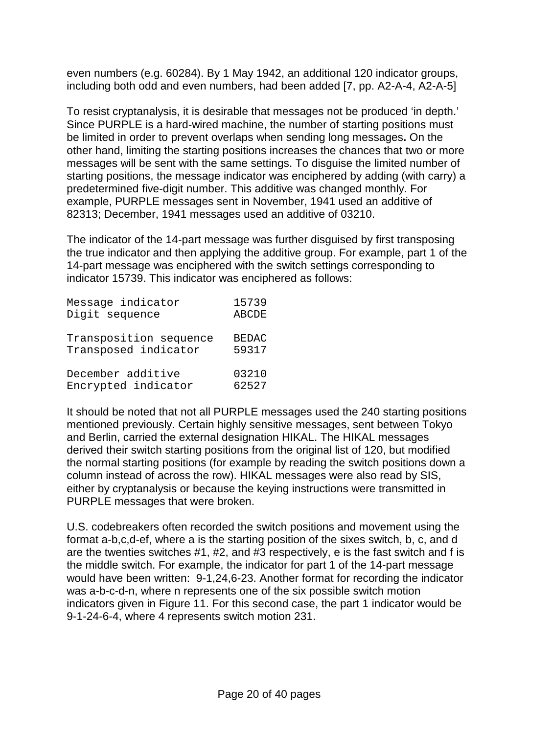even numbers (e.g. 60284). By 1 May 1942, an additional 120 indicator groups, including both odd and even numbers, had been added [7, pp. A2-A-4, A2-A-5]

To resist cryptanalysis, it is desirable that messages not be produced 'in depth.' Since PURPLE is a hard-wired machine, the number of starting positions must be limited in order to prevent overlaps when sending long messages**.** On the other hand, limiting the starting positions increases the chances that two or more messages will be sent with the same settings. To disguise the limited number of starting positions, the message indicator was enciphered by adding (with carry) a predetermined five-digit number. This additive was changed monthly. For example, PURPLE messages sent in November, 1941 used an additive of 82313; December, 1941 messages used an additive of 03210.

The indicator of the 14-part message was further disguised by first transposing the true indicator and then applying the additive group. For example, part 1 of the 14-part message was enciphered with the switch settings corresponding to indicator 15739. This indicator was enciphered as follows:

| Message indicator      | 15739        |
|------------------------|--------------|
| Digit sequence         | <b>ABCDE</b> |
| Transposition sequence | <b>BEDAC</b> |
| Transposed indicator   | 59317        |
| December additive      | 03210        |
| Encrypted indicator    | 62527        |

It should be noted that not all PURPLE messages used the 240 starting positions mentioned previously. Certain highly sensitive messages, sent between Tokyo and Berlin, carried the external designation HIKAL. The HIKAL messages derived their switch starting positions from the original list of 120, but modified the normal starting positions (for example by reading the switch positions down a column instead of across the row). HIKAL messages were also read by SIS, either by cryptanalysis or because the keying instructions were transmitted in PURPLE messages that were broken.

U.S. codebreakers often recorded the switch positions and movement using the format a-b,c,d-ef, where a is the starting position of the sixes switch, b, c, and d are the twenties switches #1, #2, and #3 respectively, e is the fast switch and f is the middle switch. For example, the indicator for part 1 of the 14-part message would have been written: 9-1,24,6-23. Another format for recording the indicator was a-b-c-d-n, where n represents one of the six possible switch motion indicators given in Figure 11. For this second case, the part 1 indicator would be 9-1-24-6-4, where 4 represents switch motion 231.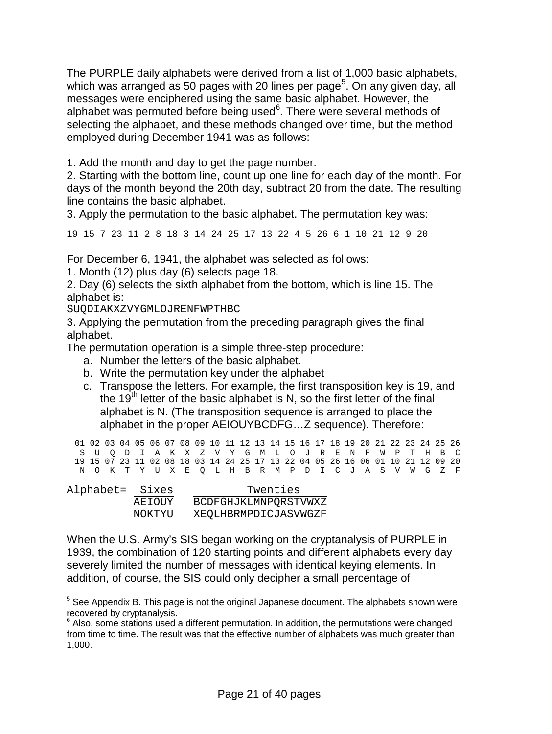The PURPLE daily alphabets were derived from a list of 1,000 basic alphabets, which was arranged as [5](#page-20-0)0 pages with 20 lines per page<sup>5</sup>. On any given day, all messages were enciphered using the same basic alphabet. However, the alphabet was permuted before being used<sup>[6](#page-20-1)</sup>. There were several methods of selecting the alphabet, and these methods changed over time, but the method employed during December 1941 was as follows:

1. Add the month and day to get the page number.

2. Starting with the bottom line, count up one line for each day of the month. For days of the month beyond the 20th day, subtract 20 from the date. The resulting line contains the basic alphabet.

3. Apply the permutation to the basic alphabet. The permutation key was:

19 15 7 23 11 2 8 18 3 14 24 25 17 13 22 4 5 26 6 1 10 21 12 9 20

For December 6, 1941, the alphabet was selected as follows:

1. Month (12) plus day (6) selects page 18.

2. Day (6) selects the sixth alphabet from the bottom, which is line 15. The alphabet is:

SUQDIAKXZVYGMLOJRENFWPTHBC

3. Applying the permutation from the preceding paragraph gives the final alphabet.

The permutation operation is a simple three-step procedure:

- a. Number the letters of the basic alphabet.
- b. Write the permutation key under the alphabet
- c. Transpose the letters. For example, the first transposition key is 19, and the  $19<sup>th</sup>$  letter of the basic alphabet is N, so the first letter of the final alphabet is N. (The transposition sequence is arranged to place the alphabet in the proper AEIOUYBCDFG…Z sequence). Therefore:

01 02 03 04 05 06 07 08 09 10 11 12 13 14 15 16 17 18 19 20 21 22 23 24 25 26 S U Q D I A K X Z V Y G M L O J R E N F W P T H B C 19 15 07 23 11 02 08 18 03 14 24 25 17 13 22 04 05 26 16 06 01 10 21 12 09 20 N O K T Y U X E Q L H B R M P D I C J A S V W G Z F

| Alphabet= Sixes |        | Twenties             |
|-----------------|--------|----------------------|
|                 | AEIOUY | BCDFGHJKLMNPORSTVWXZ |
|                 | NOKTYU | XEOLHBRMPDICJASVWGZF |

When the U.S. Army's SIS began working on the cryptanalysis of PURPLE in 1939, the combination of 120 starting points and different alphabets every day severely limited the number of messages with identical keying elements. In addition, of course, the SIS could only decipher a small percentage of

<span id="page-20-0"></span> $5$  See Appendix B. This page is not the original Japanese document. The alphabets shown were recovered by cryptanalysis.

<span id="page-20-1"></span> $6$  Also, some stations used a different permutation. In addition, the permutations were changed from time to time. The result was that the effective number of alphabets was much greater than 1,000.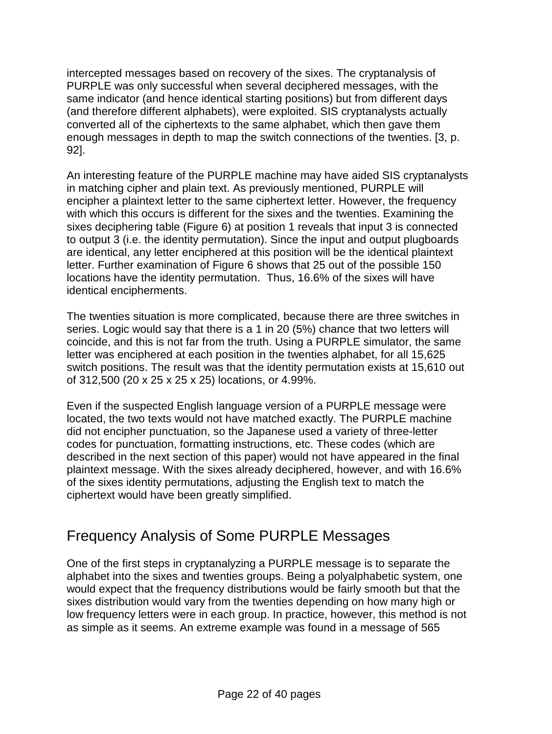intercepted messages based on recovery of the sixes. The cryptanalysis of PURPLE was only successful when several deciphered messages, with the same indicator (and hence identical starting positions) but from different days (and therefore different alphabets), were exploited. SIS cryptanalysts actually converted all of the ciphertexts to the same alphabet, which then gave them enough messages in depth to map the switch connections of the twenties. [3, p. 92].

An interesting feature of the PURPLE machine may have aided SIS cryptanalysts in matching cipher and plain text. As previously mentioned, PURPLE will encipher a plaintext letter to the same ciphertext letter. However, the frequency with which this occurs is different for the sixes and the twenties. Examining the sixes deciphering table (Figure 6) at position 1 reveals that input 3 is connected to output 3 (i.e. the identity permutation). Since the input and output plugboards are identical, any letter enciphered at this position will be the identical plaintext letter. Further examination of Figure 6 shows that 25 out of the possible 150 locations have the identity permutation. Thus, 16.6% of the sixes will have identical encipherments.

The twenties situation is more complicated, because there are three switches in series. Logic would say that there is a 1 in 20 (5%) chance that two letters will coincide, and this is not far from the truth. Using a PURPLE simulator, the same letter was enciphered at each position in the twenties alphabet, for all 15,625 switch positions. The result was that the identity permutation exists at 15,610 out of 312,500 (20 x 25 x 25 x 25) locations, or 4.99%.

Even if the suspected English language version of a PURPLE message were located, the two texts would not have matched exactly. The PURPLE machine did not encipher punctuation, so the Japanese used a variety of three-letter codes for punctuation, formatting instructions, etc. These codes (which are described in the next section of this paper) would not have appeared in the final plaintext message. With the sixes already deciphered, however, and with 16.6% of the sixes identity permutations, adjusting the English text to match the ciphertext would have been greatly simplified.

# Frequency Analysis of Some PURPLE Messages

One of the first steps in cryptanalyzing a PURPLE message is to separate the alphabet into the sixes and twenties groups. Being a polyalphabetic system, one would expect that the frequency distributions would be fairly smooth but that the sixes distribution would vary from the twenties depending on how many high or low frequency letters were in each group. In practice, however, this method is not as simple as it seems. An extreme example was found in a message of 565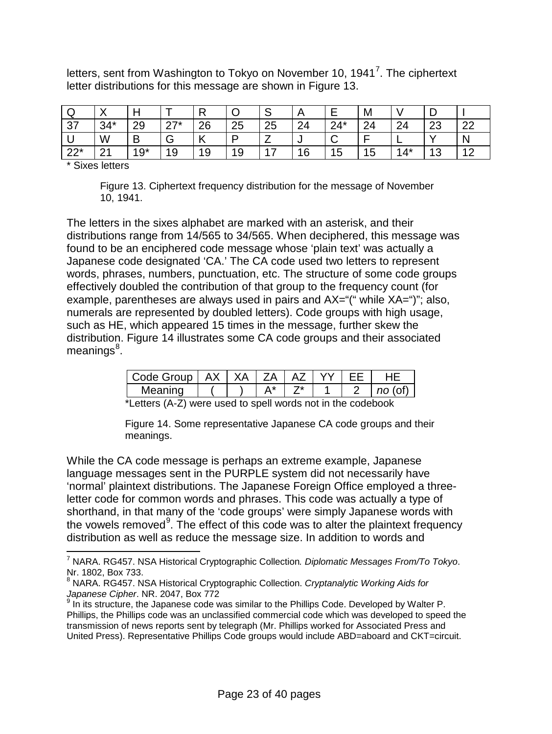letters, sent from Washington to Tokyo on November 10, 1941<sup>[7](#page-22-0)</sup>. The ciphertext letter distributions for this message are shown in Figure 13.

| ◡         | . .    |          |                 |     |    | ັ  |    |                 | M              |         |           |                |
|-----------|--------|----------|-----------------|-----|----|----|----|-----------------|----------------|---------|-----------|----------------|
| 37        | $34*$  | ററ<br>∠ບ | $77*$<br>$\sim$ | 26  | 25 | 25 | 24 | $24*$           | 24             | ີ<br>44 | ററ<br>∠∪  | $\sim$         |
|           | W      | B        |                 | . . | D  |    |    |                 |                | -       | $\lambda$ | N              |
| າດ*<br>∠∠ | $\sim$ | $19*$    | 19              | 19  | 19 | 47 | 16 | $5\phantom{.0}$ | $\overline{5}$ | $14*$   | 10<br>ںו  | $\overline{A}$ |

\* Sixes letters

Figure 13. Ciphertext frequency distribution for the message of November 10, 1941.

The letters in the sixes alphabet are marked with an asterisk, and their distributions range from 14/565 to 34/565. When deciphered, this message was found to be an enciphered code message whose 'plain text' was actually a Japanese code designated 'CA.' The CA code used two letters to represent words, phrases, numbers, punctuation, etc. The structure of some code groups effectively doubled the contribution of that group to the frequency count (for example, parentheses are always used in pairs and AX="(" while XA=")"; also, numerals are represented by doubled letters). Code groups with high usage, such as HE, which appeared 15 times in the message, further skew the distribution. Figure 14 illustrates some CA code groups and their associated meanings<sup>[8](#page-22-1)</sup>.

|  |  | 7Δ |  | Code Group   AX   XA |
|--|--|----|--|----------------------|
|  |  |    |  | Meaning              |

\*Letters (A-Z) were used to spell words not in the codebook

Figure 14. Some representative Japanese CA code groups and their meanings.

While the CA code message is perhaps an extreme example, Japanese language messages sent in the PURPLE system did not necessarily have 'normal' plaintext distributions. The Japanese Foreign Office employed a threeletter code for common words and phrases. This code was actually a type of shorthand, in that many of the 'code groups' were simply Japanese words with the vowels removed<sup>[9](#page-22-2)</sup>. The effect of this code was to alter the plaintext frequency distribution as well as reduce the message size. In addition to words and

<span id="page-22-0"></span> <sup>7</sup> NARA. RG457. NSA Historical Cryptographic Collection*. Diplomatic Messages From/To Tokyo*. Nr. 1802, Box 733.

<span id="page-22-1"></span><sup>8</sup> NARA. RG457. NSA Historical Cryptographic Collection. *Cryptanalytic Working Aids for Japanese Cipher*. NR. 2047, Box 772

<span id="page-22-2"></span> $9$  In its structure, the Japanese code was similar to the Phillips Code. Developed by Walter P. Phillips, the Phillips code was an unclassified commercial code which was developed to speed the transmission of news reports sent by telegraph (Mr. Phillips worked for Associated Press and United Press). Representative Phillips Code groups would include ABD=aboard and CKT=circuit.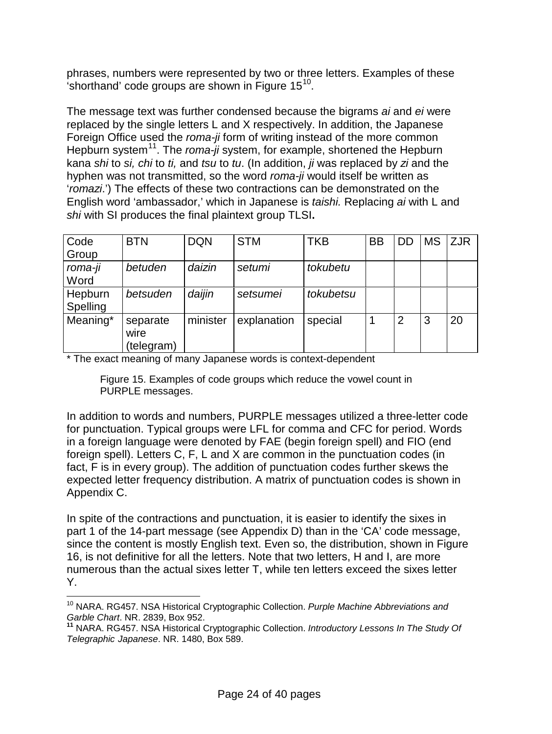phrases, numbers were represented by two or three letters. Examples of these 'shorthand' code groups are shown in Figure  $15^{10}$ .

The message text was further condensed because the bigrams *ai* and *ei* were replaced by the single letters L and X respectively. In addition, the Japanese Foreign Office used the *roma-ji* form of writing instead of the more common Hepburn system<sup>11</sup>. The *roma-ji* system, for example, shortened the Hepburn kana *shi* to *si, chi* to *ti,* and *tsu* to *tu*. (In addition, *ji* was replaced by *zi* and the hyphen was not transmitted, so the word *roma-ji* would itself be written as '*romazi*.') The effects of these two contractions can be demonstrated on the English word 'ambassador,' which in Japanese is *taishi.* Replacing *ai* with L and *shi* with SI produces the final plaintext group TLSI**.**

| Code<br>Group       | <b>BTN</b>                     | <b>DQN</b> | <b>STM</b>  | <b>TKB</b> | <b>BB</b> | DD             | <b>MS</b> | <b>ZJR</b> |
|---------------------|--------------------------------|------------|-------------|------------|-----------|----------------|-----------|------------|
| roma-ji<br>Word     | betuden                        | daizin     | setumi      | tokubetu   |           |                |           |            |
| Hepburn<br>Spelling | betsuden                       | daijin     | setsumei    | tokubetsu  |           |                |           |            |
| Meaning*            | separate<br>wire<br>(telegram) | minister   | explanation | special    |           | $\overline{2}$ | 3         | 20         |

\* The exact meaning of many Japanese words is context-dependent

Figure 15. Examples of code groups which reduce the vowel count in PURPLE messages.

In addition to words and numbers, PURPLE messages utilized a three-letter code for punctuation. Typical groups were LFL for comma and CFC for period. Words in a foreign language were denoted by FAE (begin foreign spell) and FIO (end foreign spell). Letters C, F, L and X are common in the punctuation codes (in fact, F is in every group). The addition of punctuation codes further skews the expected letter frequency distribution. A matrix of punctuation codes is shown in Appendix C.

In spite of the contractions and punctuation, it is easier to identify the sixes in part 1 of the 14-part message (see Appendix D) than in the 'CA' code message, since the content is mostly English text. Even so, the distribution, shown in Figure 16, is not definitive for all the letters. Note that two letters, H and I, are more numerous than the actual sixes letter T, while ten letters exceed the sixes letter Y.

<span id="page-23-0"></span> <sup>10</sup> NARA. RG457. NSA Historical Cryptographic Collection. *Purple Machine Abbreviations and Garble Chart*. NR. 2839, Box 952.

<span id="page-23-1"></span>**<sup>11</sup>** NARA. RG457. NSA Historical Cryptographic Collection. *Introductory Lessons In The Study Of Telegraphic Japanese*. NR. 1480, Box 589.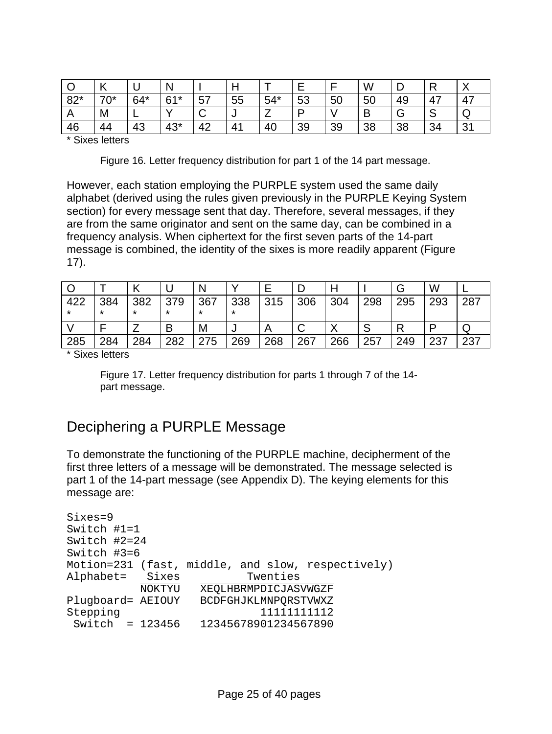|       | N     |       | N            |        | . . |       |    |    | W  |    |    | $\checkmark$<br>$\lambda$ |
|-------|-------|-------|--------------|--------|-----|-------|----|----|----|----|----|---------------------------|
| $82*$ | $70*$ | $64*$ | $61*$        | 57     | 55  | $54*$ | 53 | 50 | 50 | 49 | 47 | 47                        |
| n     | M     | -     | $\mathbf{v}$ | ⌒<br>ັ | J   |       | n  |    | D  |    | ٮ  | ◡                         |
| 46    | 44    | 43    | $43*$        | 42     | 41  | 40    | 39 | 39 | 38 | 38 | 34 | 21<br>$\mathbf{J}$ .      |

\* Sixes letters

Figure 16. Letter frequency distribution for part 1 of the 14 part message.

However, each station employing the PURPLE system used the same daily alphabet (derived using the rules given previously in the PURPLE Keying System section) for every message sent that day. Therefore, several messages, if they are from the same originator and sent on the same day, can be combined in a frequency analysis. When ciphertext for the first seven parts of the 14-part message is combined, the identity of the sixes is more readily apparent (Figure 17).

|                |                |                |                | N              |                |     |     |     |     |     | W   |     |
|----------------|----------------|----------------|----------------|----------------|----------------|-----|-----|-----|-----|-----|-----|-----|
| 422<br>$\star$ | 384<br>$\star$ | 382<br>$\star$ | 379<br>$\star$ | 367<br>$\star$ | 338<br>$\star$ | 315 | 306 | 304 | 298 | 295 | 293 | 287 |
|                |                |                | B              | M              |                |     |     |     |     | R   | D   | یں  |
| 285            | 284            | 284            | 282            | 275            | 269            | 268 | 267 | 266 | 257 | 249 | 237 | 237 |

\* Sixes letters

Figure 17. Letter frequency distribution for parts 1 through 7 of the 14 part message.

#### Deciphering a PURPLE Message

To demonstrate the functioning of the PURPLE machine, decipherment of the first three letters of a message will be demonstrated. The message selected is part 1 of the 14-part message (see Appendix D). The keying elements for this message are:

```
Sixes=9
Switch #1=1
Switch #2=24
Switch #3=6
Motion=231 (fast, middle, and slow, respectively)
Alphabet= Sixes
          NOKTYU XEQLHBRMPDICJASVWGZF
Plugboard= AEIOUY BCDFGHJKLMNPQRSTVWXZ<br>Stepping 1111111112
Stepping 11111111111112
 Switch = 123456 12345678901234567890
```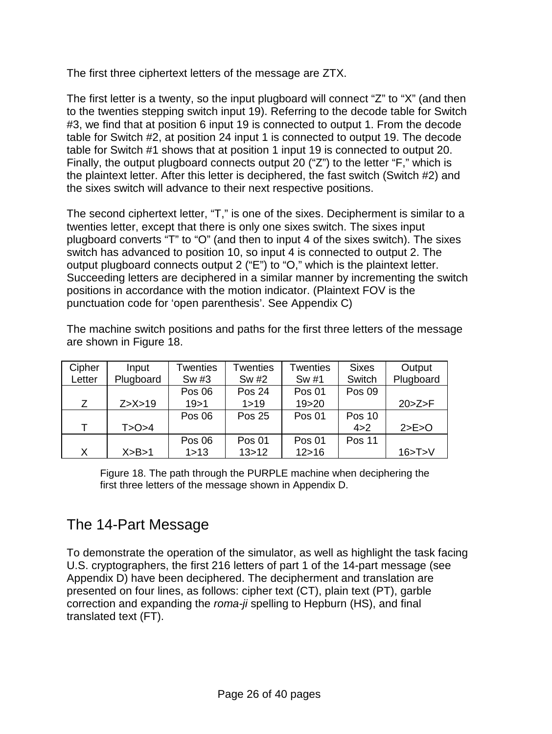The first three ciphertext letters of the message are ZTX.

The first letter is a twenty, so the input plugboard will connect "Z" to "X" (and then to the twenties stepping switch input 19). Referring to the decode table for Switch #3, we find that at position 6 input 19 is connected to output 1. From the decode table for Switch #2, at position 24 input 1 is connected to output 19. The decode table for Switch #1 shows that at position 1 input 19 is connected to output 20. Finally, the output plugboard connects output 20 ("Z") to the letter "F," which is the plaintext letter. After this letter is deciphered, the fast switch (Switch #2) and the sixes switch will advance to their next respective positions.

The second ciphertext letter, "T," is one of the sixes. Decipherment is similar to a twenties letter, except that there is only one sixes switch. The sixes input plugboard converts "T" to "O" (and then to input 4 of the sixes switch). The sixes switch has advanced to position 10, so input 4 is connected to output 2. The output plugboard connects output 2 ("E") to "O," which is the plaintext letter. Succeeding letters are deciphered in a similar manner by incrementing the switch positions in accordance with the motion indicator. (Plaintext FOV is the punctuation code for 'open parenthesis'. See Appendix C)

The machine switch positions and paths for the first three letters of the message are shown in Figure 18.

| Cipher | Input      | Twenties | Twenties      | Twenties      | <b>Sixes</b>  | Output     |
|--------|------------|----------|---------------|---------------|---------------|------------|
| Letter | Plugboard  | Sw #3    | Sw #2         | Sw #1         | Switch        | Plugboard  |
|        |            | Pos 06   | Pos 24        | <b>Pos 01</b> | Pos 09        |            |
| Z      | Z > X > 19 | 19 > 1   | 1 > 19        | 19 > 20       |               | 20 > Z > F |
|        |            | Pos 06   | <b>Pos 25</b> | <b>Pos 01</b> | <b>Pos 10</b> |            |
| т      | T>O>4      |          |               |               | 4 > 2         | 2>E>O      |
|        |            | Pos 06   | <b>Pos 01</b> | <b>Pos 01</b> | <b>Pos 11</b> |            |
| X      | X>B>1      | 1 > 13   | 13 > 12       | 12 > 16       |               | 16 > T > V |

Figure 18. The path through the PURPLE machine when deciphering the first three letters of the message shown in Appendix D.

# The 14-Part Message

To demonstrate the operation of the simulator, as well as highlight the task facing U.S. cryptographers, the first 216 letters of part 1 of the 14-part message (see Appendix D) have been deciphered. The decipherment and translation are presented on four lines, as follows: cipher text (CT), plain text (PT), garble correction and expanding the *roma-ji* spelling to Hepburn (HS), and final translated text (FT).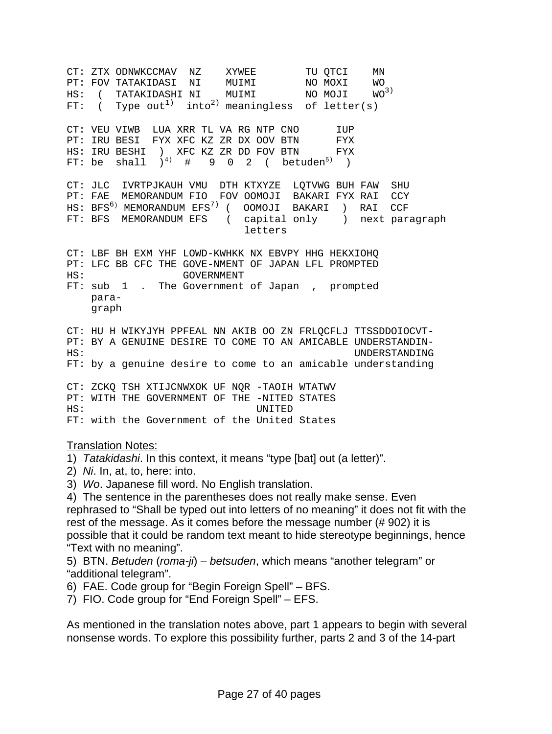CT: ZTX ODNWKCCMAV NZ XYWEE TU QTCI MN PT: FOV TATAKIDASI NI MUIMI NO MOXI WO  $\texttt{HS:}$  ( TATAKIDASHI NI MUIMI NO MOJI WO<sup>3)</sup> FT:  $($  Type out<sup>1</sup> into<sup>2</sup> meaningless of letter(s) CT: VEU VIWB LUA XRR TL VA RG NTP CNO LUP<br>PT: IRU BESI FYX XFC KZ ZR DX OOV BTN FYX PT: IRU BESI FYX XFC KZ ZR DX OOV BTN FYX<br>HS: IRU BESHI ) XFC KZ ZR DD FOV BTN FYX HS: IRU BESHI ) XFC KZ ZR DD FOV BTN FYX FT: be shall  $)^{4}$  # 9 0 2 ( betuden<sup>5)</sup> ) CT: JLC IVRTPJKAUH VMU DTH KTXYZE LQTVWG BUH FAW SHU PT: FAE MEMORANDUM FIO FOV OOMOJI BAKARI FYX RAI CCY HS: BFS<sup>6)</sup> MEMORANDUM EFS<sup>7)</sup> ( OOMOJI BAKARI ) RAI CCF FT: BFS MEMORANDUM EFS ( capital only ) next paragraph letters CT: LBF BH EXM YHF LOWD-KWHKK NX EBVPY HHG HEKXIOHQ PT: LFC BB CFC THE GOVE-NMENT OF JAPAN LFL PROMPTED HS: HS: GOVERNMENT FT: sub 1 . The Government of Japan , prompted para graph CT: HU H WIKYJYH PPFEAL NN AKIB OO ZN FRLQCFLJ TTSSDDOIOCVT-PT: BY A GENUINE DESIRE TO COME TO AN AMICABLE UNDERSTANDIN-<br>HS: UNDERSTANDING UNDERSTANDING FT: by a genuine desire to come to an amicable understanding CT: ZCKQ TSH XTIJCNWXOK UF NQR -TAOIH WTATWV PT: WITH THE GOVERNMENT OF THE -NITED STATES<br>HS: UNITED HS: UNITED FT: with the Government of the United States

#### Translation Notes:

- 1) *Tatakidashi*. In this context, it means "type [bat] out (a letter)".
- 2) *Ni*. In, at, to, here: into.
- 3) *Wo*. Japanese fill word. No English translation.
- 4) The sentence in the parentheses does not really make sense. Even rephrased to "Shall be typed out into letters of no meaning" it does not fit with the rest of the message. As it comes before the message number (# 902) it is possible that it could be random text meant to hide stereotype beginnings, hence "Text with no meaning".
- 5) BTN. *Betuden* (*roma-ji*) *betsuden*, which means "another telegram" or "additional telegram".
- 6) FAE. Code group for "Begin Foreign Spell" BFS.
- 7) FIO. Code group for "End Foreign Spell" EFS.

As mentioned in the translation notes above, part 1 appears to begin with several nonsense words. To explore this possibility further, parts 2 and 3 of the 14-part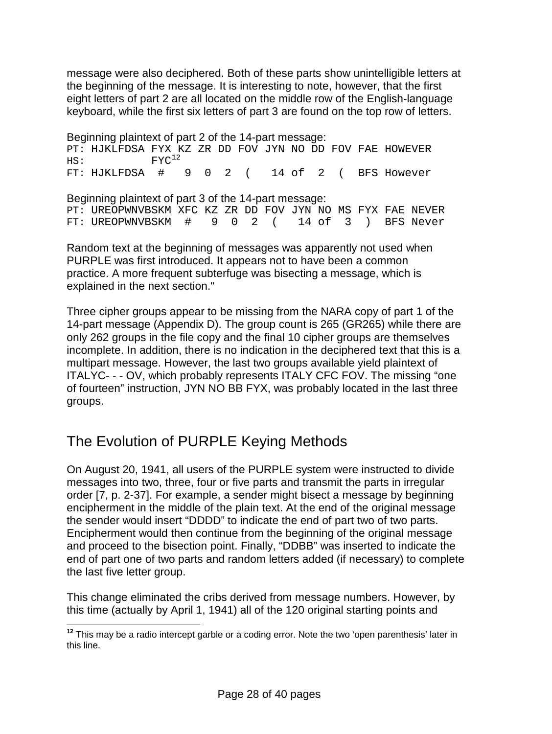message were also deciphered. Both of these parts show unintelligible letters at the beginning of the message. It is interesting to note, however, that the first eight letters of part 2 are all located on the middle row of the English-language keyboard, while the first six letters of part 3 are found on the top row of letters.

Beginning plaintext of part 2 of the 14-part message: PT: HJKLFDSA FYX KZ ZR DD FOV JYN NO DD FOV FAE HOWEVER HS:  $FYC^{12}$ HS: FYC<br>FT: HJKLFDSA # 9 0 2 ( 14 of 2 ( BFS However Beginning plaintext of part 3 of the 14-part message: PT: UREOPWNVBSKM XFC KZ ZR DD FOV JYN NO MS FYX FAE NEVER<br>FT: UREOPWNVBSKM #902 (14 of 3) BFS Never 9 0 2 ( 14 of 3 ) BFS Never

Random text at the beginning of messages was apparently not used when PURPLE was first introduced. It appears not to have been a common practice. A more frequent subterfuge was bisecting a message, which is explained in the next section."

Three cipher groups appear to be missing from the NARA copy of part 1 of the 14-part message (Appendix D). The group count is 265 (GR265) while there are only 262 groups in the file copy and the final 10 cipher groups are themselves incomplete. In addition, there is no indication in the deciphered text that this is a multipart message. However, the last two groups available yield plaintext of ITALYC- - - OV, which probably represents ITALY CFC FOV. The missing "one of fourteen" instruction, JYN NO BB FYX, was probably located in the last three groups.

# The Evolution of PURPLE Keying Methods

On August 20, 1941, all users of the PURPLE system were instructed to divide messages into two, three, four or five parts and transmit the parts in irregular order [7, p. 2-37]. For example, a sender might bisect a message by beginning encipherment in the middle of the plain text. At the end of the original message the sender would insert "DDDD" to indicate the end of part two of two parts. Encipherment would then continue from the beginning of the original message and proceed to the bisection point. Finally, "DDBB" was inserted to indicate the end of part one of two parts and random letters added (if necessary) to complete the last five letter group.

This change eliminated the cribs derived from message numbers. However, by this time (actually by April 1, 1941) all of the 120 original starting points and

<span id="page-27-0"></span>**<sup>12</sup>** This may be a radio intercept garble or a coding error. Note the two 'open parenthesis' later in this line.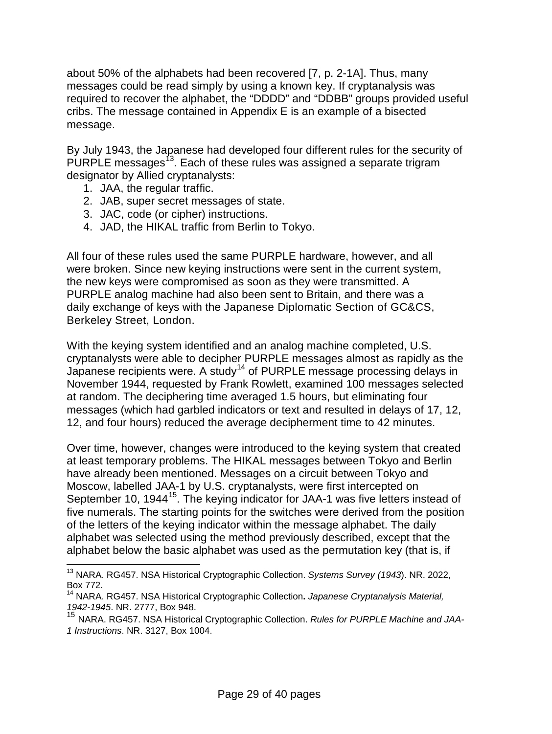about 50% of the alphabets had been recovered [7, p. 2-1A]. Thus, many messages could be read simply by using a known key. If cryptanalysis was required to recover the alphabet, the "DDDD" and "DDBB" groups provided useful cribs. The message contained in Appendix E is an example of a bisected message.

By July 1943, the Japanese had developed four different rules for the security of PURPLE messages<sup>[13](#page-28-0)</sup>. Each of these rules was assigned a separate trigram designator by Allied cryptanalysts:

- 1. JAA, the regular traffic.
- 2. JAB, super secret messages of state.
- 3. JAC, code (or cipher) instructions.
- 4. JAD, the HIKAL traffic from Berlin to Tokyo.

All four of these rules used the same PURPLE hardware, however, and all were broken. Since new keying instructions were sent in the current system, the new keys were compromised as soon as they were transmitted. A PURPLE analog machine had also been sent to Britain, and there was a daily exchange of keys with the Japanese Diplomatic Section of GC&CS, Berkeley Street, London.

With the keying system identified and an analog machine completed, U.S. cryptanalysts were able to decipher PURPLE messages almost as rapidly as the Japanese recipients were. A study<sup>[14](#page-28-1)</sup> of PURPLE message processing delays in November 1944, requested by Frank Rowlett, examined 100 messages selected at random. The deciphering time averaged 1.5 hours, but eliminating four messages (which had garbled indicators or text and resulted in delays of 17, 12, 12, and four hours) reduced the average decipherment time to 42 minutes.

Over time, however, changes were introduced to the keying system that created at least temporary problems. The HIKAL messages between Tokyo and Berlin have already been mentioned. Messages on a circuit between Tokyo and Moscow, labelled JAA-1 by U.S. cryptanalysts, were first intercepted on September 10, 1944<sup>[15](#page-28-2)</sup>. The keying indicator for JAA-1 was five letters instead of five numerals. The starting points for the switches were derived from the position of the letters of the keying indicator within the message alphabet. The daily alphabet was selected using the method previously described, except that the alphabet below the basic alphabet was used as the permutation key (that is, if

<span id="page-28-0"></span> <sup>13</sup> NARA. RG457. NSA Historical Cryptographic Collection. *Systems Survey (1943*). NR. 2022, Box 772.

<span id="page-28-1"></span><sup>14</sup> NARA. RG457. NSA Historical Cryptographic Collection**.** *Japanese Cryptanalysis Material, 1942-1945*. NR. 2777, Box 948.

<span id="page-28-2"></span><sup>15</sup> NARA. RG457. NSA Historical Cryptographic Collection. *Rules for PURPLE Machine and JAA-1 Instructions*. NR. 3127, Box 1004.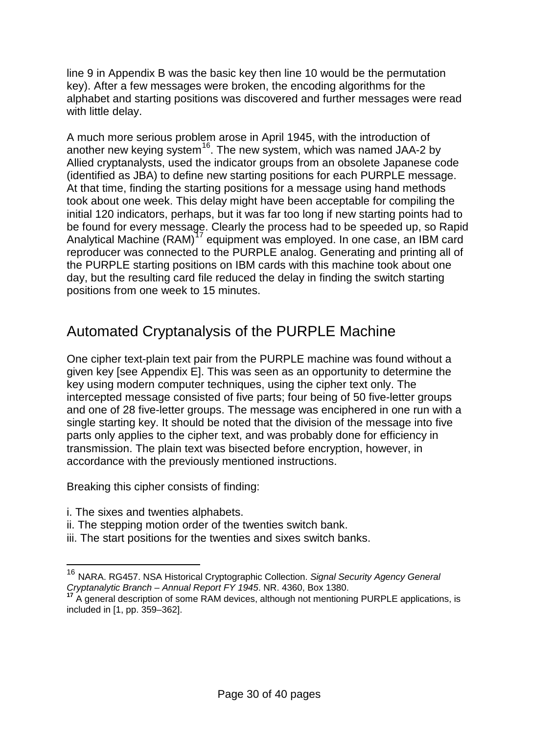line 9 in Appendix B was the basic key then line 10 would be the permutation key). After a few messages were broken, the encoding algorithms for the alphabet and starting positions was discovered and further messages were read with little delay.

A much more serious problem arose in April 1945, with the introduction of another new keying system<sup>16</sup>. The new system, which was named JAA-2 by Allied cryptanalysts, used the indicator groups from an obsolete Japanese code (identified as JBA) to define new starting positions for each PURPLE message. At that time, finding the starting positions for a message using hand methods took about one week. This delay might have been acceptable for compiling the initial 120 indicators, perhaps, but it was far too long if new starting points had to be found for every message. Clearly the process had to be speeded up, so Rapid Analytical Machine  $(RAM)^{17}$  $(RAM)^{17}$  $(RAM)^{17}$  equipment was employed. In one case, an IBM card reproducer was connected to the PURPLE analog. Generating and printing all of the PURPLE starting positions on IBM cards with this machine took about one day, but the resulting card file reduced the delay in finding the switch starting positions from one week to 15 minutes.

# Automated Cryptanalysis of the PURPLE Machine

One cipher text-plain text pair from the PURPLE machine was found without a given key [see Appendix E]. This was seen as an opportunity to determine the key using modern computer techniques, using the cipher text only. The intercepted message consisted of five parts; four being of 50 five-letter groups and one of 28 five-letter groups. The message was enciphered in one run with a single starting key. It should be noted that the division of the message into five parts only applies to the cipher text, and was probably done for efficiency in transmission. The plain text was bisected before encryption, however, in accordance with the previously mentioned instructions.

Breaking this cipher consists of finding:

- i. The sixes and twenties alphabets.
- ii. The stepping motion order of the twenties switch bank.
- iii. The start positions for the twenties and sixes switch banks.

<span id="page-29-0"></span> <sup>16</sup> NARA. RG457. NSA Historical Cryptographic Collection. *Signal Security Agency General Cryptanalytic Branch – Annual Report FY 1945*. NR. 4360, Box 1380.

<span id="page-29-1"></span>**<sup>17</sup>** A general description of some RAM devices, although not mentioning PURPLE applications, is included in [1, pp. 359–362].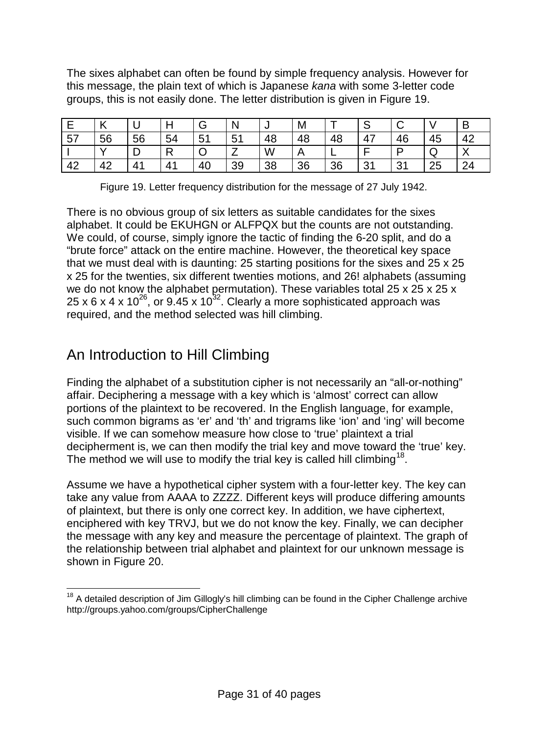The sixes alphabet can often be found by simple frequency analysis. However for this message, the plain text of which is Japanese *kana* with some 3-letter code groups, this is not easily done. The letter distribution is given in Figure 19.

|    | K  | ັ  |              | G  | N  | ◡  | M  |    | ت           |    |    | В                      |
|----|----|----|--------------|----|----|----|----|----|-------------|----|----|------------------------|
| 57 | 56 | 56 | 54           | 51 | 51 | 48 | 48 | 48 | 47          | 46 | 45 | 42                     |
|    |    | ٮ  | $\mathsf{R}$ | ◡  |    | W  |    | -  |             |    | ◡  | $\sqrt{}$<br>$\lambda$ |
| 42 | 42 | 41 | 41           | 40 | 39 | 38 | 36 | 36 | -21<br>ູບ ເ | 31 | 25 | 24                     |

| Figure 19. Letter frequency distribution for the message of 27 July 1942. |  |
|---------------------------------------------------------------------------|--|
|                                                                           |  |

There is no obvious group of six letters as suitable candidates for the sixes alphabet. It could be EKUHGN or ALFPQX but the counts are not outstanding. We could, of course, simply ignore the tactic of finding the 6-20 split, and do a "brute force" attack on the entire machine. However, the theoretical key space that we must deal with is daunting: 25 starting positions for the sixes and 25 x 25 x 25 for the twenties, six different twenties motions, and 26! alphabets (assuming we do not know the alphabet permutation). These variables total 25 x 25 x 25 x 25 x 6 x 4 x 10<sup>26</sup>, or 9.45 x 10<sup>32</sup>. Clearly a more sophisticated approach was required, and the method selected was hill climbing.

# An Introduction to Hill Climbing

Finding the alphabet of a substitution cipher is not necessarily an "all-or-nothing" affair. Deciphering a message with a key which is 'almost' correct can allow portions of the plaintext to be recovered. In the English language, for example, such common bigrams as 'er' and 'th' and trigrams like 'ion' and 'ing' will become visible. If we can somehow measure how close to 'true' plaintext a trial decipherment is, we can then modify the trial key and move toward the 'true' key. The method we will use to modify the trial key is called hill climbing<sup>[18](#page-30-0)</sup>.

Assume we have a hypothetical cipher system with a four-letter key. The key can take any value from AAAA to ZZZZ. Different keys will produce differing amounts of plaintext, but there is only one correct key. In addition, we have ciphertext, enciphered with key TRVJ, but we do not know the key. Finally, we can decipher the message with any key and measure the percentage of plaintext. The graph of the relationship between trial alphabet and plaintext for our unknown message is shown in Figure 20.

<span id="page-30-0"></span> $18$  A detailed description of Jim Gillogly's hill climbing can be found in the Cipher Challenge archive http://groups.yahoo.com/groups/CipherChallenge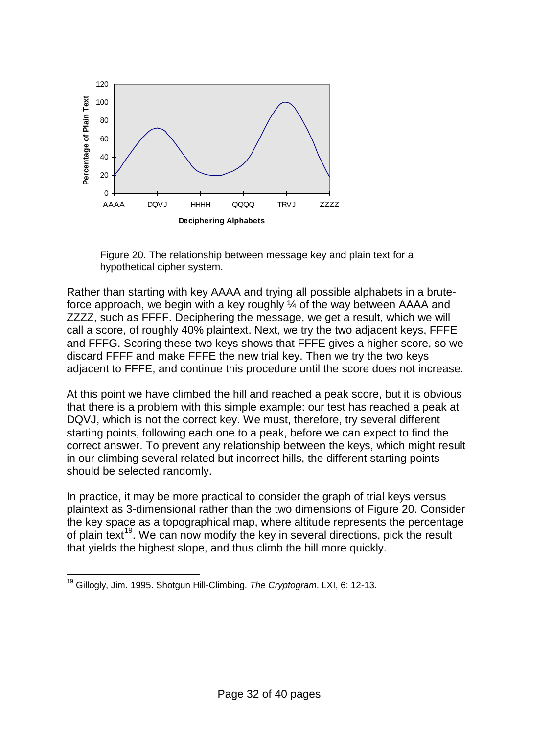

Figure 20. The relationship between message key and plain text for a hypothetical cipher system.

Rather than starting with key AAAA and trying all possible alphabets in a bruteforce approach, we begin with a key roughly ¼ of the way between AAAA and ZZZZ, such as FFFF. Deciphering the message, we get a result, which we will call a score, of roughly 40% plaintext. Next, we try the two adjacent keys, FFFE and FFFG. Scoring these two keys shows that FFFE gives a higher score, so we discard FFFF and make FFFE the new trial key. Then we try the two keys adjacent to FFFE, and continue this procedure until the score does not increase.

At this point we have climbed the hill and reached a peak score, but it is obvious that there is a problem with this simple example: our test has reached a peak at DQVJ, which is not the correct key. We must, therefore, try several different starting points, following each one to a peak, before we can expect to find the correct answer. To prevent any relationship between the keys, which might result in our climbing several related but incorrect hills, the different starting points should be selected randomly.

In practice, it may be more practical to consider the graph of trial keys versus plaintext as 3-dimensional rather than the two dimensions of Figure 20. Consider the key space as a topographical map, where altitude represents the percentage of plain text<sup>[19](#page-31-0)</sup>. We can now modify the key in several directions, pick the result that yields the highest slope, and thus climb the hill more quickly.

<span id="page-31-0"></span> <sup>19</sup> Gillogly, Jim. 1995. Shotgun Hill-Climbing. *The Cryptogram*. LXI, 6: 12-13.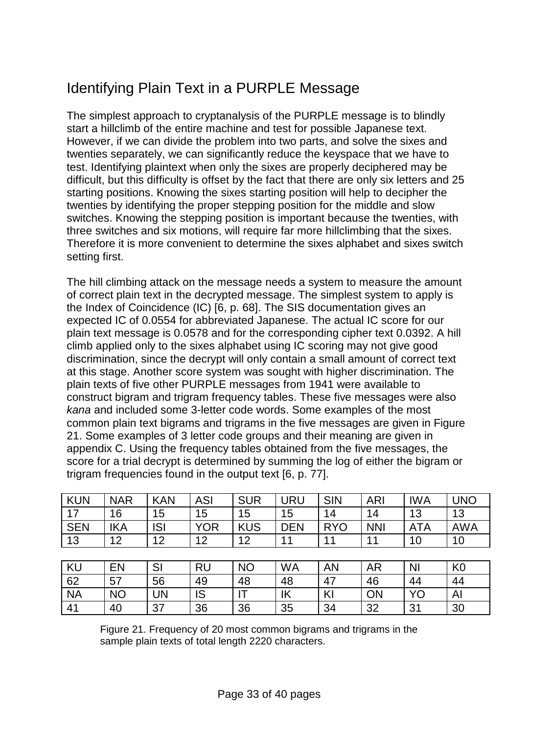# Identifying Plain Text in a PURPLE Message

The simplest approach to cryptanalysis of the PURPLE message is to blindly start a hillclimb of the entire machine and test for possible Japanese text. However, if we can divide the problem into two parts, and solve the sixes and twenties separately, we can significantly reduce the keyspace that we have to test. Identifying plaintext when only the sixes are properly deciphered may be difficult, but this difficulty is offset by the fact that there are only six letters and 25 starting positions. Knowing the sixes starting position will help to decipher the twenties by identifying the proper stepping position for the middle and slow switches. Knowing the stepping position is important because the twenties, with three switches and six motions, will require far more hillclimbing that the sixes. Therefore it is more convenient to determine the sixes alphabet and sixes switch setting first.

The hill climbing attack on the message needs a system to measure the amount of correct plain text in the decrypted message. The simplest system to apply is the Index of Coincidence (IC) [6, p. 68]. The SIS documentation gives an expected IC of 0.0554 for abbreviated Japanese. The actual IC score for our plain text message is 0.0578 and for the corresponding cipher text 0.0392. A hill climb applied only to the sixes alphabet using IC scoring may not give good discrimination, since the decrypt will only contain a small amount of correct text at this stage. Another score system was sought with higher discrimination. The plain texts of five other PURPLE messages from 1941 were available to construct bigram and trigram frequency tables. These five messages were also *kana* and included some 3-letter code words. Some examples of the most common plain text bigrams and trigrams in the five messages are given in Figure 21. Some examples of 3 letter code groups and their meaning are given in appendix C. Using the frequency tables obtained from the five messages, the score for a trial decrypt is determined by summing the log of either the bigram or trigram frequencies found in the output text [6, p. 77].

| <b>KUN</b> | <b>NAR</b> | <b>KAN</b> | <b>ASI</b> | <b>SUR</b> | <b>URU</b> | <b>SIN</b> | <b>ARI</b> | <b>IWA</b>     | <b>UNO</b>     |
|------------|------------|------------|------------|------------|------------|------------|------------|----------------|----------------|
| 17         | 16         | 15         | 15         | 15         | 15         | 14         | 14         | 13             | 13             |
| <b>SEN</b> | <b>IKA</b> | <b>ISI</b> | <b>YOR</b> | <b>KUS</b> | <b>DEN</b> | <b>RYO</b> | <b>NNI</b> | <b>ATA</b>     | <b>AWA</b>     |
| 13         | 12         | 12         | 12         | 12         | 11         | 11         | 11         | 10             | 10             |
|            |            |            |            |            |            |            |            |                |                |
| <b>KU</b>  | EN         | SI         | <b>RU</b>  | <b>NO</b>  | <b>WA</b>  | <b>AN</b>  | <b>AR</b>  | N <sub>l</sub> | K <sub>0</sub> |
| 62         | 57         | 56         | 49         | 48         | 48         | 47         | 46         | 44             | 44             |
| <b>NA</b>  | <b>NO</b>  | <b>UN</b>  | IS         | IΤ         | IK         | KI         | <b>ON</b>  | YO             | Al             |
| 41         | 40         | 37         | 36         | 36         | 35         | 34         | 32         | 31             | 30             |

Figure 21. Frequency of 20 most common bigrams and trigrams in the sample plain texts of total length 2220 characters.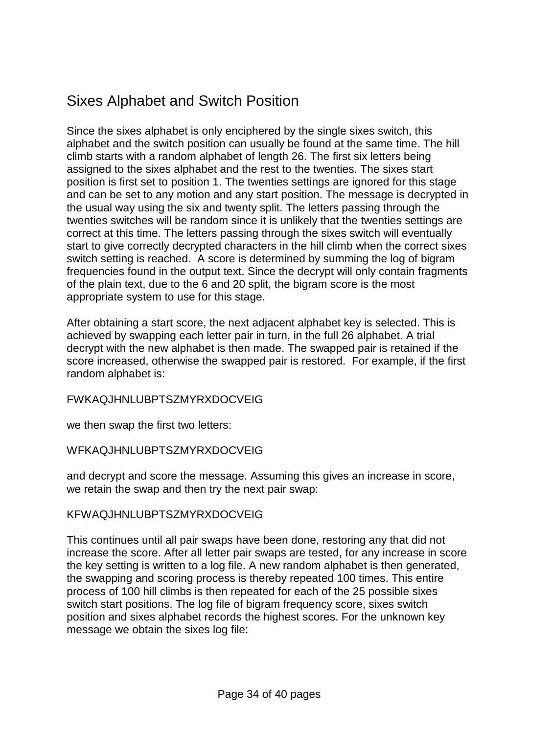# Sixes Alphabet and Switch Position

Since the sixes alphabet is only enciphered by the single sixes switch, this alphabet and the switch position can usually be found at the same time. The hill climb starts with a random alphabet of length 26. The first six letters being assigned to the sixes alphabet and the rest to the twenties. The sixes start position is first set to position 1. The twenties settings are ignored for this stage and can be set to any motion and any start position. The message is decrypted in the usual way using the six and twenty split. The letters passing through the twenties switches will be random since it is unlikely that the twenties settings are correct at this time. The letters passing through the sixes switch will eventually start to give correctly decrypted characters in the hill climb when the correct sixes switch setting is reached. A score is determined by summing the log of bigram frequencies found in the output text. Since the decrypt will only contain fragments of the plain text, due to the 6 and 20 split, the bigram score is the most appropriate system to use for this stage.

After obtaining a start score, the next adjacent alphabet key is selected. This is achieved by swapping each letter pair in turn, in the full 26 alphabet. A trial decrypt with the new alphabet is then made. The swapped pair is retained if the score increased, otherwise the swapped pair is restored. For example, if the first random alphabet is:

FWKAQJHNLUBPTSZMYRXDOCVEIG

we then swap the first two letters:

WFKAQJHNLUBPTSZMYRXDOCVEIG

and decrypt and score the message. Assuming this gives an increase in score, we retain the swap and then try the next pair swap:

#### KFWAQJHNLUBPTSZMYRXDOCVEIG

This continues until all pair swaps have been done, restoring any that did not increase the score. After all letter pair swaps are tested, for any increase in score the key setting is written to a log file. A new random alphabet is then generated, the swapping and scoring process is thereby repeated 100 times. This entire process of 100 hill climbs is then repeated for each of the 25 possible sixes switch start positions. The log file of bigram frequency score, sixes switch position and sixes alphabet records the highest scores. For the unknown key message we obtain the sixes log file: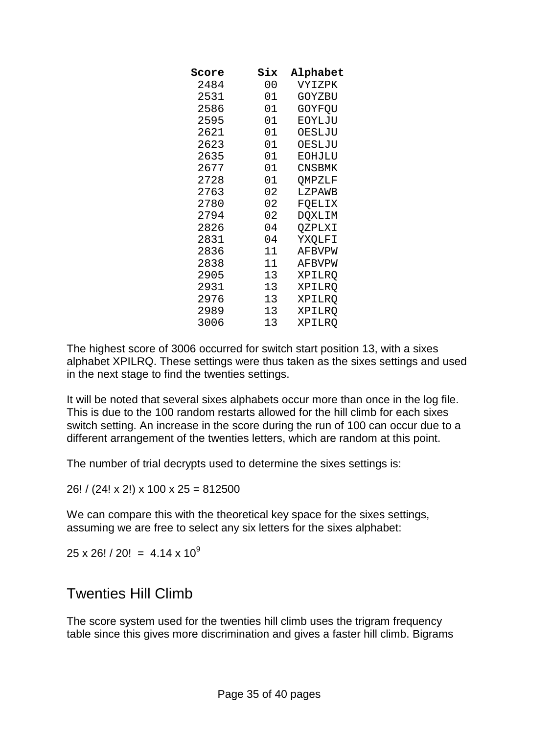| Score | Six | Alphabet |
|-------|-----|----------|
| 2484  | 00  | VYIZPK   |
| 2531  | 01  | GOYZBU   |
| 2586  | 01  | GOYFQU   |
| 2595  | 01  | EOYLJU   |
| 2621  | 01  | OESLJU   |
| 2623  | 01  | OESLJU   |
| 2635  | 01  | EOHJLU   |
| 2677  | 01  | CNSBMK   |
| 2728  | 01  | QMPZLF   |
| 2763  | 02  | LZPAWB   |
| 2780  | 02  | FQELIX   |
| 2794  | 02  | DQXLIM   |
| 2826  | 04  | QZPLXI   |
| 2831  | 04  | YXQLFI   |
| 2836  | 11  | AFBVPW   |
| 2838  | 11  | AFBVPW   |
| 2905  | 13  | XPILRO   |
| 2931  | 13  | XPILRO   |
| 2976  | 13  | XPILRO   |
| 2989  | 13  | XPILRQ   |
| 3006  | 13  | XPILRO   |
|       |     |          |

The highest score of 3006 occurred for switch start position 13, with a sixes alphabet XPILRQ. These settings were thus taken as the sixes settings and used in the next stage to find the twenties settings.

It will be noted that several sixes alphabets occur more than once in the log file. This is due to the 100 random restarts allowed for the hill climb for each sixes switch setting. An increase in the score during the run of 100 can occur due to a different arrangement of the twenties letters, which are random at this point.

The number of trial decrypts used to determine the sixes settings is:

26! / (24! x 2!) x 100 x 25 = 812500

We can compare this with the theoretical key space for the sixes settings, assuming we are free to select any six letters for the sixes alphabet:

 $25 \times 26! / 20! = 4.14 \times 10^9$ 

#### Twenties Hill Climb

The score system used for the twenties hill climb uses the trigram frequency table since this gives more discrimination and gives a faster hill climb. Bigrams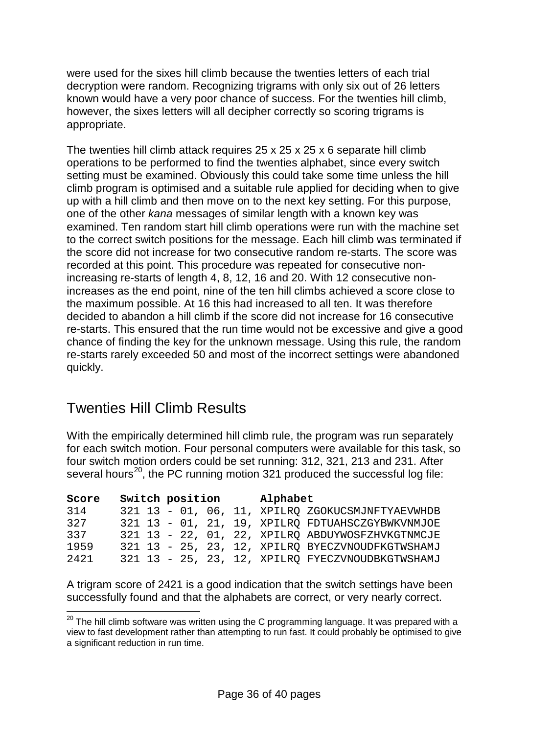were used for the sixes hill climb because the twenties letters of each trial decryption were random. Recognizing trigrams with only six out of 26 letters known would have a very poor chance of success. For the twenties hill climb, however, the sixes letters will all decipher correctly so scoring trigrams is appropriate.

The twenties hill climb attack requires 25 x 25 x 25 x 6 separate hill climb operations to be performed to find the twenties alphabet, since every switch setting must be examined. Obviously this could take some time unless the hill climb program is optimised and a suitable rule applied for deciding when to give up with a hill climb and then move on to the next key setting. For this purpose, one of the other *kana* messages of similar length with a known key was examined. Ten random start hill climb operations were run with the machine set to the correct switch positions for the message. Each hill climb was terminated if the score did not increase for two consecutive random re-starts. The score was recorded at this point. This procedure was repeated for consecutive nonincreasing re-starts of length 4, 8, 12, 16 and 20. With 12 consecutive nonincreases as the end point, nine of the ten hill climbs achieved a score close to the maximum possible. At 16 this had increased to all ten. It was therefore decided to abandon a hill climb if the score did not increase for 16 consecutive re-starts. This ensured that the run time would not be excessive and give a good chance of finding the key for the unknown message. Using this rule, the random re-starts rarely exceeded 50 and most of the incorrect settings were abandoned quickly.

# Twenties Hill Climb Results

With the empirically determined hill climb rule, the program was run separately for each switch motion. Four personal computers were available for this task, so four switch motion orders could be set running: 312, 321, 213 and 231. After several hours<sup>[20](#page-35-0)</sup>, the PC running motion 321 produced the successful log file:

| Score | Switch position |  |  | Alphabet |                                                  |
|-------|-----------------|--|--|----------|--------------------------------------------------|
| 314   |                 |  |  |          | 321 13 - 01, 06, 11, XPILRO ZGOKUCSMJNFTYAEVWHDB |
| 327   |                 |  |  |          | 321 13 - 01, 21, 19, XPILRO FDTUAHSCZGYBWKVNMJOE |
| 337   |                 |  |  |          | 321 13 - 22, 01, 22, XPILRQ ABDUYWOSFZHVKGTNMCJE |
| 1959  |                 |  |  |          | 321 13 - 25, 23, 12, XPILRO BYECZVNOUDFKGTWSHAMJ |
| 2421  |                 |  |  |          | 321 13 - 25, 23, 12, XPILRO FYECZVNOUDBKGTWSHAMJ |

A trigram score of 2421 is a good indication that the switch settings have been successfully found and that the alphabets are correct, or very nearly correct.

<span id="page-35-0"></span> $20$  The hill climb software was written using the C programming language. It was prepared with a view to fast development rather than attempting to run fast. It could probably be optimised to give a significant reduction in run time.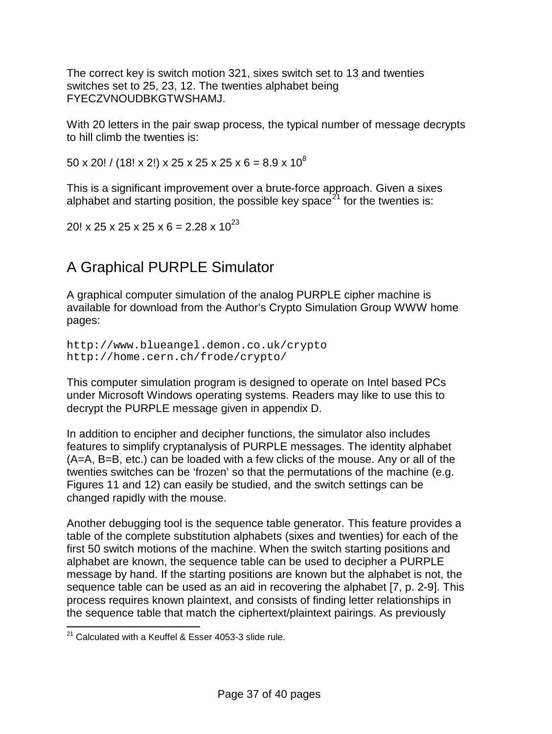The correct key is switch motion 321, sixes switch set to 13 and twenties switches set to 25, 23, 12. The twenties alphabet being FYECZVNOUDBKGTWSHAMJ.

With 20 letters in the pair swap process, the typical number of message decrypts to hill climb the twenties is:

 $50 \times 20!$  / (18! x 2!) x 25 x 25 x 25 x 6 = 8.9 x 10<sup>8</sup>

This is a significant improvement over a brute-force approach. Given a sixes alphabet and starting position, the possible key space<sup>[21](#page-36-0)</sup> for the twenties is:

20! x 25 x 25 x 25 x 6 = 2.28 x  $10^{23}$ 

# A Graphical PURPLE Simulator

A graphical computer simulation of the analog PURPLE cipher machine is available for download from the Author's Crypto Simulation Group WWW home pages:

```
http://www.blueangel.demon.co.uk/crypto
http://home.cern.ch/frode/crypto/
```
This computer simulation program is designed to operate on Intel based PCs under Microsoft Windows operating systems. Readers may like to use this to decrypt the PURPLE message given in appendix D.

In addition to encipher and decipher functions, the simulator also includes features to simplify cryptanalysis of PURPLE messages. The identity alphabet (A=A, B=B, etc.) can be loaded with a few clicks of the mouse. Any or all of the twenties switches can be 'frozen' so that the permutations of the machine (e.g. Figures 11 and 12) can easily be studied, and the switch settings can be changed rapidly with the mouse.

Another debugging tool is the sequence table generator. This feature provides a table of the complete substitution alphabets (sixes and twenties) for each of the first 50 switch motions of the machine. When the switch starting positions and alphabet are known, the sequence table can be used to decipher a PURPLE message by hand. If the starting positions are known but the alphabet is not, the sequence table can be used as an aid in recovering the alphabet [7, p. 2-9]. This process requires known plaintext, and consists of finding letter relationships in the sequence table that match the ciphertext/plaintext pairings. As previously

<span id="page-36-0"></span> $21$  Calculated with a Keuffel & Esser 4053-3 slide rule.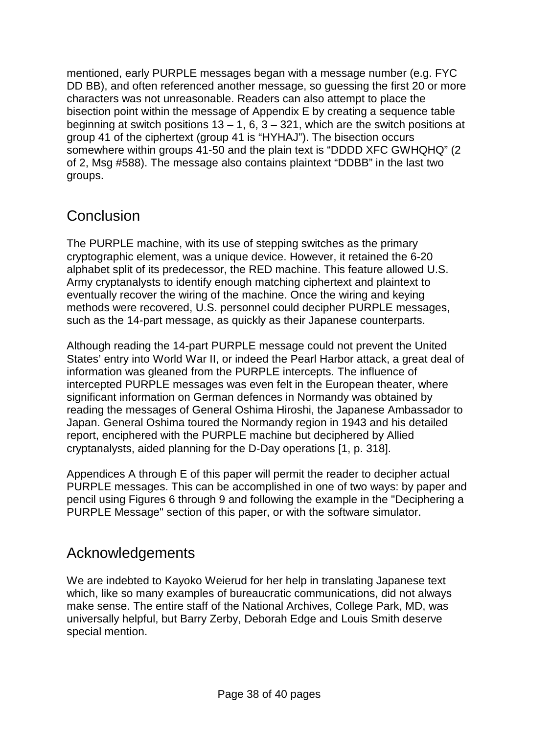mentioned, early PURPLE messages began with a message number (e.g. FYC DD BB), and often referenced another message, so guessing the first 20 or more characters was not unreasonable. Readers can also attempt to place the bisection point within the message of Appendix E by creating a sequence table beginning at switch positions  $13 - 1$ , 6,  $3 - 321$ , which are the switch positions at group 41 of the ciphertext (group 41 is "HYHAJ"). The bisection occurs somewhere within groups 41-50 and the plain text is "DDDD XFC GWHQHQ" (2 of 2, Msg #588). The message also contains plaintext "DDBB" in the last two groups.

#### **Conclusion**

The PURPLE machine, with its use of stepping switches as the primary cryptographic element, was a unique device. However, it retained the 6-20 alphabet split of its predecessor, the RED machine. This feature allowed U.S. Army cryptanalysts to identify enough matching ciphertext and plaintext to eventually recover the wiring of the machine. Once the wiring and keying methods were recovered, U.S. personnel could decipher PURPLE messages, such as the 14-part message, as quickly as their Japanese counterparts.

Although reading the 14-part PURPLE message could not prevent the United States' entry into World War II, or indeed the Pearl Harbor attack, a great deal of information was gleaned from the PURPLE intercepts. The influence of intercepted PURPLE messages was even felt in the European theater, where significant information on German defences in Normandy was obtained by reading the messages of General Oshima Hiroshi, the Japanese Ambassador to Japan. General Oshima toured the Normandy region in 1943 and his detailed report, enciphered with the PURPLE machine but deciphered by Allied cryptanalysts, aided planning for the D-Day operations [1, p. 318].

Appendices A through E of this paper will permit the reader to decipher actual PURPLE messages. This can be accomplished in one of two ways: by paper and pencil using Figures 6 through 9 and following the example in the "Deciphering a PURPLE Message" section of this paper, or with the software simulator.

#### Acknowledgements

We are indebted to Kayoko Weierud for her help in translating Japanese text which, like so many examples of bureaucratic communications, did not always make sense. The entire staff of the National Archives, College Park, MD, was universally helpful, but Barry Zerby, Deborah Edge and Louis Smith deserve special mention.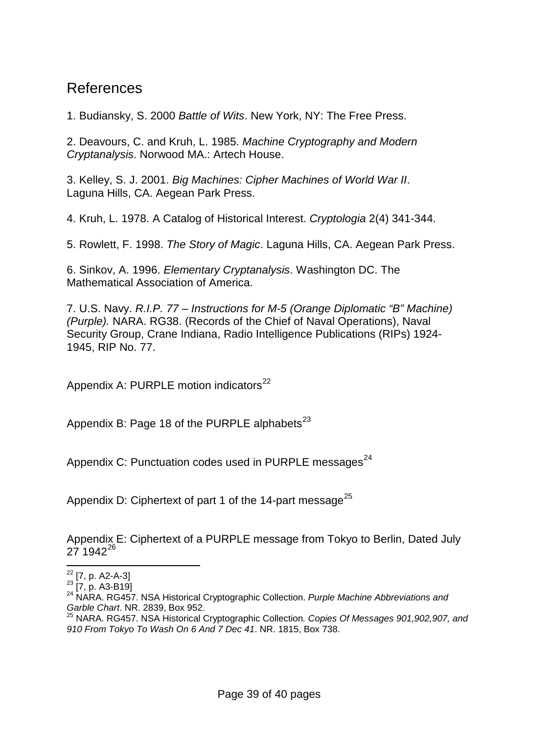#### References

1. Budiansky, S. 2000 *Battle of Wits*. New York, NY: The Free Press.

2. Deavours, C. and Kruh, L. 1985. *Machine Cryptography and Modern Cryptanalysis*. Norwood MA.: Artech House.

3. Kelley, S. J. 2001. *Big Machines: Cipher Machines of World War II*. Laguna Hills, CA. Aegean Park Press.

4. Kruh, L. 1978. A Catalog of Historical Interest. *Cryptologia* 2(4) 341-344.

5. Rowlett, F. 1998. *The Story of Magic*. Laguna Hills, CA. Aegean Park Press.

6. Sinkov, A. 1996. *Elementary Cryptanalysis*. Washington DC. The Mathematical Association of America.

<span id="page-38-4"></span>7. U.S. Navy. *R.I.P. 77 – Instructions for M-5 (Orange Diplomatic "B" Machine) (Purple).* NARA. RG38. (Records of the Chief of Naval Operations), Naval Security Group, Crane Indiana, Radio Intelligence Publications (RIPs) 1924- 1945, RIP No. 77.

Appendix A: PURPLE motion indicators $^{22}$  $^{22}$  $^{22}$ 

Appendix B: Page 18 of the PURPLE alphabets<sup>[23](#page-38-1)</sup>

Appendix C: Punctuation codes used in PURPLE messages<sup>[24](#page-38-2)</sup>

Appendix D: Ciphertext of part 1 of the 14-part message<sup>[25](#page-38-3)</sup>

Appendix E: Ciphertext of a PURPLE message from Tokyo to Berlin, Dated July  $27.1942^{26}$  $27.1942^{26}$  $27.1942^{26}$ 

<span id="page-38-2"></span>

<span id="page-38-1"></span><span id="page-38-0"></span><sup>&</sup>lt;sup>22</sup> [7, p. A2-A-3]<br><sup>23</sup> [7, p. A3-B19]<br><sup>24</sup> NARA. RG457. NSA Historical Cryptographic Collection. *Purple Machine Abbreviations and Garble Chart*. NR. 2839, Box 952.

<span id="page-38-3"></span><sup>25</sup> NARA. RG457. NSA Historical Cryptographic Collection*. Copies Of Messages 901,902,907, and 910 From Tokyo To Wash On 6 And 7 Dec 41*. NR. 1815, Box 738.